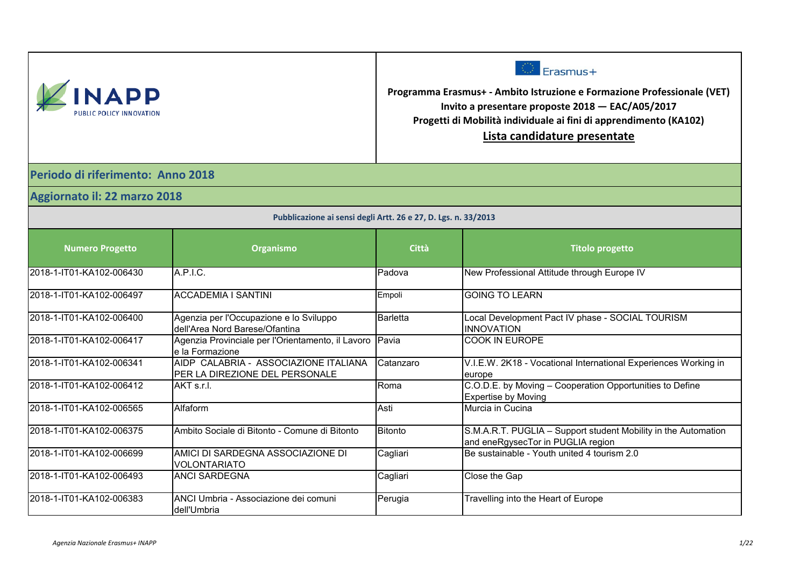| NAPI                     |
|--------------------------|
| PUBLIC POLICY INNOVATION |



**Programma Erasmus+ - Ambito Istruzione e Formazione Professionale (VET) Invito a presentare proposte 2018 — EAC/A05/2017 Progetti di Mobilità individuale ai fini di apprendimento (KA102) Lista candidature presentate**

**Periodo di riferimento: Anno 2018**

**Aggiornato il: 22 marzo 2018**

| Pubblicazione ai sensi degli Artt. 26 e 27, D. Lgs. n. 33/2013 |                                                                           |                 |                                                                                                     |
|----------------------------------------------------------------|---------------------------------------------------------------------------|-----------------|-----------------------------------------------------------------------------------------------------|
| <b>Numero Progetto</b>                                         | Organismo                                                                 | <b>Città</b>    | <b>Titolo progetto</b>                                                                              |
| 2018-1-IT01-KA102-006430                                       | A.P.I.C.                                                                  | Padova          | New Professional Attitude through Europe IV                                                         |
| 2018-1-IT01-KA102-006497                                       | IACCADEMIA I SANTINI                                                      | Empoli          | <b>GOING TO LEARN</b>                                                                               |
| 2018-1-IT01-KA102-006400                                       | Agenzia per l'Occupazione e lo Sviluppo<br>dell'Area Nord Barese/Ofantina | <b>Barletta</b> | Local Development Pact IV phase - SOCIAL TOURISM<br><b>INNOVATION</b>                               |
| 2018-1-IT01-KA102-006417                                       | Agenzia Provinciale per l'Orientamento, il Lavoro<br>le la Formazione     | Pavia           | <b>COOK IN EUROPE</b>                                                                               |
| 2018-1-IT01-KA102-006341                                       | AIDP CALABRIA - ASSOCIAZIONE ITALIANA<br>PER LA DIREZIONE DEL PERSONALE   | Catanzaro       | V.I.E.W. 2K18 - Vocational International Experiences Working in<br>europe                           |
| 2018-1-IT01-KA102-006412                                       | AKT s.r.l.                                                                | Roma            | C.O.D.E. by Moving - Cooperation Opportunities to Define<br><b>Expertise by Moving</b>              |
| l2018-1-IT01-KA102-006565                                      | Alfaform                                                                  | Asti            | Murcia in Cucina                                                                                    |
| l2018-1-IT01-KA102-006375                                      | Ambito Sociale di Bitonto - Comune di Bitonto                             | <b>Bitonto</b>  | S.M.A.R.T. PUGLIA - Support student Mobility in the Automation<br>and eneRgysecTor in PUGLIA region |
| 2018-1-IT01-KA102-006699                                       | AMICI DI SARDEGNA ASSOCIAZIONE DI<br><b>VOLONTARIATO</b>                  | Cagliari        | Be sustainable - Youth united 4 tourism 2.0                                                         |
| 2018-1-IT01-KA102-006493                                       | <b>ANCI SARDEGNA</b>                                                      | Cagliari        | Close the Gap                                                                                       |
| l2018-1-IT01-KA102-006383                                      | ANCI Umbria - Associazione dei comuni<br>Idell'Umbria                     | Perugia         | Travelling into the Heart of Europe                                                                 |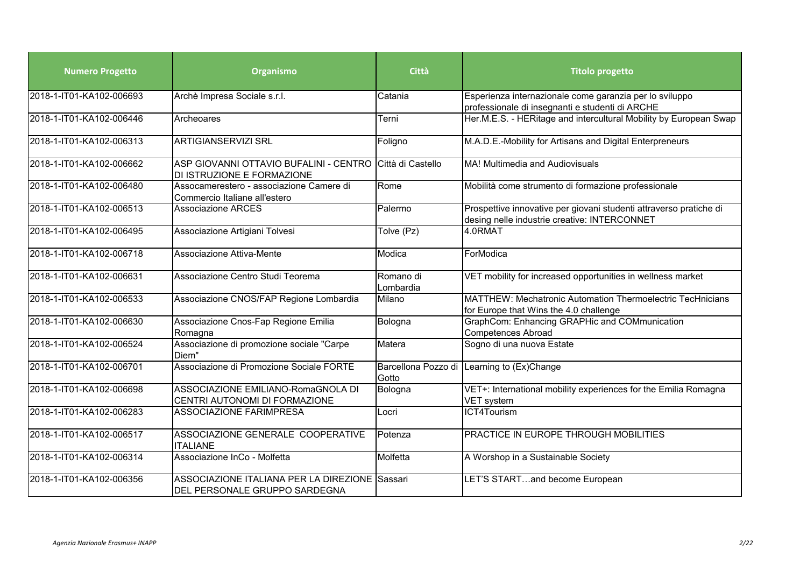| <b>Numero Progetto</b>   | Organismo                                                                              | Città                  | <b>Titolo progetto</b>                                                                                             |
|--------------------------|----------------------------------------------------------------------------------------|------------------------|--------------------------------------------------------------------------------------------------------------------|
| 2018-1-IT01-KA102-006693 | Archè Impresa Sociale s.r.l.                                                           | Catania                | Esperienza internazionale come garanzia per lo sviluppo<br>professionale di insegnanti e studenti di ARCHE         |
| 2018-1-IT01-KA102-006446 | Archeoares                                                                             | Terni                  | Her.M.E.S. - HERitage and intercultural Mobility by European Swap                                                  |
| 2018-1-IT01-KA102-006313 | <b>ARTIGIANSERVIZI SRL</b>                                                             | Foligno                | M.A.D.E.-Mobility for Artisans and Digital Enterpreneurs                                                           |
| 2018-1-IT01-KA102-006662 | ASP GIOVANNI OTTAVIO BUFALINI - CENTRO Città di Castello<br>DI ISTRUZIONE E FORMAZIONE |                        | MA! Multimedia and Audiovisuals                                                                                    |
| 2018-1-IT01-KA102-006480 | Assocamerestero - associazione Camere di<br>Commercio Italiane all'estero              | Rome                   | Mobilità come strumento di formazione professionale                                                                |
| 2018-1-IT01-KA102-006513 | <b>Associazione ARCES</b>                                                              | Palermo                | Prospettive innovative per giovani studenti attraverso pratiche di<br>desing nelle industrie creative: INTERCONNET |
| 2018-1-IT01-KA102-006495 | Associazione Artigiani Tolvesi                                                         | Tolve (Pz)             | 4.0RMAT                                                                                                            |
| 2018-1-IT01-KA102-006718 | Associazione Attiva-Mente                                                              | Modica                 | ForModica                                                                                                          |
| 2018-1-IT01-KA102-006631 | Associazione Centro Studi Teorema                                                      | Romano di<br>Lombardia | VET mobility for increased opportunities in wellness market                                                        |
| 2018-1-IT01-KA102-006533 | Associazione CNOS/FAP Regione Lombardia                                                | Milano                 | <b>MATTHEW: Mechatronic Automation Thermoelectric TecHnicians</b><br>for Europe that Wins the 4.0 challenge        |
| 2018-1-IT01-KA102-006630 | Associazione Cnos-Fap Regione Emilia<br>Romagna                                        | Bologna                | GraphCom: Enhancing GRAPHic and COMmunication<br><b>Competences Abroad</b>                                         |
| 2018-1-IT01-KA102-006524 | Associazione di promozione sociale "Carpe<br>Diem"                                     | Matera                 | Sogno di una nuova Estate                                                                                          |
| 2018-1-IT01-KA102-006701 | Associazione di Promozione Sociale FORTE                                               | Gotto                  | Barcellona Pozzo di Learning to (Ex)Change                                                                         |
| 2018-1-IT01-KA102-006698 | ASSOCIAZIONE EMILIANO-RomaGNOLA DI<br>CENTRI AUTONOMI DI FORMAZIONE                    | Bologna                | VET+: International mobility experiences for the Emilia Romagna<br><b>VET</b> system                               |
| 2018-1-IT01-KA102-006283 | <b>ASSOCIAZIONE FARIMPRESA</b>                                                         | Locri                  | ICT4Tourism                                                                                                        |
| 2018-1-IT01-KA102-006517 | ASSOCIAZIONE GENERALE COOPERATIVE<br><b>ITALIANE</b>                                   | Potenza                | PRACTICE IN EUROPE THROUGH MOBILITIES                                                                              |
| 2018-1-IT01-KA102-006314 | Associazione InCo - Molfetta                                                           | Molfetta               | A Worshop in a Sustainable Society                                                                                 |
| 2018-1-IT01-KA102-006356 | ASSOCIAZIONE ITALIANA PER LA DIREZIONE Sassari<br>DEL PERSONALE GRUPPO SARDEGNA        |                        | LET'S STARTand become European                                                                                     |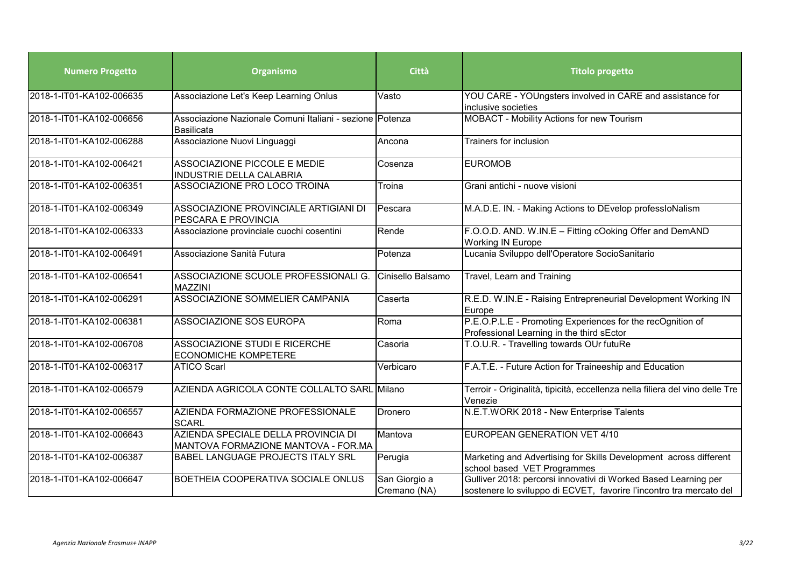| <b>Numero Progetto</b>   | Organismo                                                                     | <b>Città</b>                  | <b>Titolo progetto</b>                                                                                                                 |
|--------------------------|-------------------------------------------------------------------------------|-------------------------------|----------------------------------------------------------------------------------------------------------------------------------------|
| 2018-1-IT01-KA102-006635 | Associazione Let's Keep Learning Onlus                                        | Vasto                         | YOU CARE - YOUngsters involved in CARE and assistance for<br>inclusive societies                                                       |
| 2018-1-IT01-KA102-006656 | Associazione Nazionale Comuni Italiani - sezione Potenza<br><b>Basilicata</b> |                               | MOBACT - Mobility Actions for new Tourism                                                                                              |
| 2018-1-IT01-KA102-006288 | Associazione Nuovi Linguaggi                                                  | Ancona                        | Trainers for inclusion                                                                                                                 |
| 2018-1-IT01-KA102-006421 | <b>ASSOCIAZIONE PICCOLE E MEDIE</b><br>INDUSTRIE DELLA CALABRIA               | Cosenza                       | <b>EUROMOB</b>                                                                                                                         |
| 2018-1-IT01-KA102-006351 | ASSOCIAZIONE PRO LOCO TROINA                                                  | Troina                        | Grani antichi - nuove visioni                                                                                                          |
| 2018-1-IT01-KA102-006349 | ASSOCIAZIONE PROVINCIALE ARTIGIANI DI<br>PESCARA E PROVINCIA                  | Pescara                       | M.A.D.E. IN. - Making Actions to DEvelop professloNalism                                                                               |
| 2018-1-IT01-KA102-006333 | Associazione provinciale cuochi cosentini                                     | Rende                         | F.O.O.D. AND. W.IN.E - Fitting cOoking Offer and DemAND<br><b>Working IN Europe</b>                                                    |
| 2018-1-IT01-KA102-006491 | Associazione Sanità Futura                                                    | Potenza                       | Lucania Sviluppo dell'Operatore SocioSanitario                                                                                         |
| 2018-1-IT01-KA102-006541 | ASSOCIAZIONE SCUOLE PROFESSIONALI G.<br>MAZZINI                               | Cinisello Balsamo             | Travel, Learn and Training                                                                                                             |
| 2018-1-IT01-KA102-006291 | ASSOCIAZIONE SOMMELIER CAMPANIA                                               | Caserta                       | R.E.D. W.IN.E - Raising Entrepreneurial Development Working IN<br>Europe                                                               |
| 2018-1-IT01-KA102-006381 | ASSOCIAZIONE SOS EUROPA                                                       | Roma                          | P.E.O.P.L.E - Promoting Experiences for the recOgnition of<br>Professional Learning in the third sEctor                                |
| 2018-1-IT01-KA102-006708 | ASSOCIAZIONE STUDI E RICERCHE<br><b>ECONOMICHE KOMPETERE</b>                  | Casoria                       | T.O.U.R. - Travelling towards OUr futuRe                                                                                               |
| 2018-1-IT01-KA102-006317 | <b>ATICO Scarl</b>                                                            | Verbicaro                     | F.A.T.E. - Future Action for Traineeship and Education                                                                                 |
| 2018-1-IT01-KA102-006579 | AZIENDA AGRICOLA CONTE COLLALTO SARL Milano                                   |                               | Terroir - Originalità, tipicità, eccellenza nella filiera del vino delle Tre<br>Venezie                                                |
| 2018-1-IT01-KA102-006557 | AZIENDA FORMAZIONE PROFESSIONALE<br><b>SCARL</b>                              | Dronero                       | N.E.T.WORK 2018 - New Enterprise Talents                                                                                               |
| 2018-1-IT01-KA102-006643 | AZIENDA SPECIALE DELLA PROVINCIA DI<br>MANTOVA FORMAZIONE MANTOVA - FOR.MA    | Mantova                       | EUROPEAN GENERATION VET 4/10                                                                                                           |
| 2018-1-IT01-KA102-006387 | BABEL LANGUAGE PROJECTS ITALY SRL                                             | Perugia                       | Marketing and Advertising for Skills Development across different<br>school based VET Programmes                                       |
| 2018-1-IT01-KA102-006647 | BOETHEIA COOPERATIVA SOCIALE ONLUS                                            | San Giorgio a<br>Cremano (NA) | Gulliver 2018: percorsi innovativi di Worked Based Learning per<br>sostenere lo sviluppo di ECVET, favorire l'incontro tra mercato del |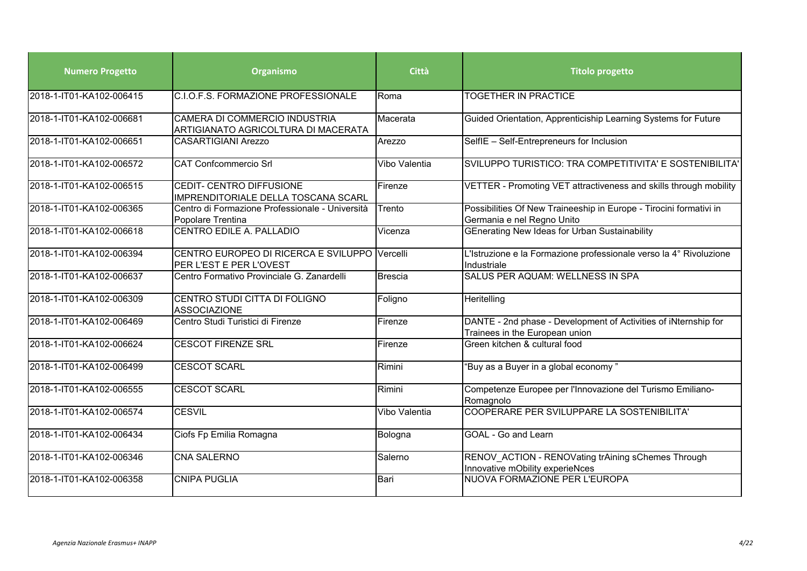| <b>Numero Progetto</b>   | Organismo                                                                | Città         | <b>Titolo progetto</b>                                                                            |
|--------------------------|--------------------------------------------------------------------------|---------------|---------------------------------------------------------------------------------------------------|
| 2018-1-IT01-KA102-006415 | C.I.O.F.S. FORMAZIONE PROFESSIONALE                                      | Roma          | <b>TOGETHER IN PRACTICE</b>                                                                       |
| 2018-1-IT01-KA102-006681 | CAMERA DI COMMERCIO INDUSTRIA<br>ARTIGIANATO AGRICOLTURA DI MACERATA     | Macerata      | Guided Orientation, Apprenticiship Learning Systems for Future                                    |
| 2018-1-IT01-KA102-006651 | <b>CASARTIGIANI Arezzo</b>                                               | Arezzo        | SelfIE - Self-Entrepreneurs for Inclusion                                                         |
| 2018-1-IT01-KA102-006572 | <b>CAT Confcommercio Srl</b>                                             | Vibo Valentia | SVILUPPO TURISTICO: TRA COMPETITIVITA' E SOSTENIBILITA'                                           |
| 2018-1-IT01-KA102-006515 | CEDIT- CENTRO DIFFUSIONE<br>IMPRENDITORIALE DELLA TOSCANA SCARL          | Firenze       | VETTER - Promoting VET attractiveness and skills through mobility                                 |
| 2018-1-IT01-KA102-006365 | Centro di Formazione Professionale - Università<br>Popolare Trentina     | Trento        | Possibilities Of New Traineeship in Europe - Tirocini formativi in<br>Germania e nel Regno Unito  |
| 2018-1-IT01-KA102-006618 | CENTRO EDILE A. PALLADIO                                                 | Vicenza       | GEnerating New Ideas for Urban Sustainability                                                     |
| 2018-1-IT01-KA102-006394 | CENTRO EUROPEO DI RICERCA E SVILUPPO Vercelli<br>PER L'EST E PER L'OVEST |               | L'Istruzione e la Formazione professionale verso la 4° Rivoluzione<br>Industriale                 |
| 2018-1-IT01-KA102-006637 | Centro Formativo Provinciale G. Zanardelli                               | Brescia       | <b>SALUS PER AQUAM: WELLNESS IN SPA</b>                                                           |
| 2018-1-IT01-KA102-006309 | CENTRO STUDI CITTA DI FOLIGNO<br><b>ASSOCIAZIONE</b>                     | Foligno       | Heritelling                                                                                       |
| 2018-1-IT01-KA102-006469 | Centro Studi Turistici di Firenze                                        | Firenze       | DANTE - 2nd phase - Development of Activities of iNternship for<br>Trainees in the European union |
| 2018-1-IT01-KA102-006624 | <b>CESCOT FIRENZE SRL</b>                                                | Firenze       | Green kitchen & cultural food                                                                     |
| 2018-1-IT01-KA102-006499 | <b>CESCOT SCARL</b>                                                      | Rimini        | "Buy as a Buyer in a global economy"                                                              |
| 2018-1-IT01-KA102-006555 | <b>CESCOT SCARL</b>                                                      | Rimini        | Competenze Europee per l'Innovazione del Turismo Emiliano-<br>Romagnolo                           |
| 2018-1-IT01-KA102-006574 | <b>CESVIL</b>                                                            | Vibo Valentia | COOPERARE PER SVILUPPARE LA SOSTENIBILITA'                                                        |
| 2018-1-IT01-KA102-006434 | Ciofs Fp Emilia Romagna                                                  | Bologna       | GOAL - Go and Learn                                                                               |
| 2018-1-IT01-KA102-006346 | <b>CNA SALERNO</b>                                                       | Salerno       | RENOV ACTION - RENOVating trAining sChemes Through<br>Innovative mObility experieNces             |
| 2018-1-IT01-KA102-006358 | <b>CNIPA PUGLIA</b>                                                      | Bari          | NUOVA FORMAZIONE PER L'EUROPA                                                                     |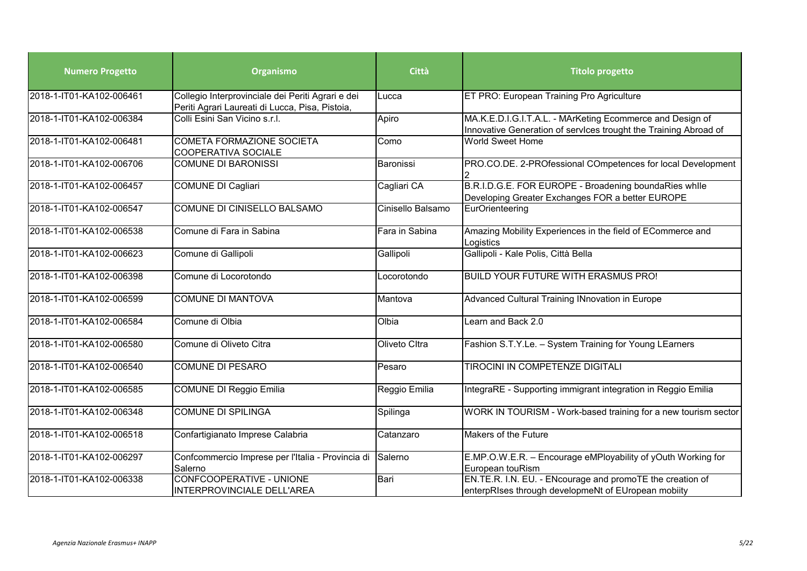| <b>Numero Progetto</b>   | Organismo                                                                                            | <b>Città</b>      | <b>Titolo progetto</b>                                                                                                        |
|--------------------------|------------------------------------------------------------------------------------------------------|-------------------|-------------------------------------------------------------------------------------------------------------------------------|
| 2018-1-IT01-KA102-006461 | Collegio Interprovinciale dei Periti Agrari e dei<br>Periti Agrari Laureati di Lucca, Pisa, Pistoia, | Lucca             | ET PRO: European Training Pro Agriculture                                                                                     |
| 2018-1-IT01-KA102-006384 | Colli Esini San Vicino s.r.l.                                                                        | Apiro             | MA.K.E.D.I.G.I.T.A.L. - MArKeting Ecommerce and Design of<br>Innovative Generation of services trought the Training Abroad of |
| 2018-1-IT01-KA102-006481 | COMETA FORMAZIONE SOCIETA<br><b>COOPERATIVA SOCIALE</b>                                              | Como              | <b>World Sweet Home</b>                                                                                                       |
| 2018-1-IT01-KA102-006706 | <b>COMUNE DI BARONISSI</b>                                                                           | Baronissi         | PRO.CO.DE. 2-PROfessional COmpetences for local Development                                                                   |
| 2018-1-IT01-KA102-006457 | <b>COMUNE DI Cagliari</b>                                                                            | Cagliari CA       | B.R.I.D.G.E. FOR EUROPE - Broadening boundaRies while<br>Developing Greater Exchanges FOR a better EUROPE                     |
| 2018-1-IT01-KA102-006547 | COMUNE DI CINISELLO BALSAMO                                                                          | Cinisello Balsamo | EurOrienteering                                                                                                               |
| 2018-1-IT01-KA102-006538 | Comune di Fara in Sabina                                                                             | Fara in Sabina    | Amazing Mobility Experiences in the field of ECommerce and<br>Logistics                                                       |
| 2018-1-IT01-KA102-006623 | Comune di Gallipoli                                                                                  | Gallipoli         | Gallipoli - Kale Polis, Città Bella                                                                                           |
| 2018-1-IT01-KA102-006398 | Comune di Locorotondo                                                                                | Locorotondo       | <b>BUILD YOUR FUTURE WITH ERASMUS PRO!</b>                                                                                    |
| 2018-1-IT01-KA102-006599 | <b>COMUNE DI MANTOVA</b>                                                                             | Mantova           | Advanced Cultural Training INnovation in Europe                                                                               |
| 2018-1-IT01-KA102-006584 | Comune di Olbia                                                                                      | Olbia             | Learn and Back 2.0                                                                                                            |
| 2018-1-IT01-KA102-006580 | Comune di Oliveto Citra                                                                              | Oliveto Cltra     | Fashion S.T.Y.Le. - System Training for Young LEarners                                                                        |
| 2018-1-IT01-KA102-006540 | <b>COMUNE DI PESARO</b>                                                                              | Pesaro            | <b>TIROCINI IN COMPETENZE DIGITALI</b>                                                                                        |
| 2018-1-IT01-KA102-006585 | <b>COMUNE DI Reggio Emilia</b>                                                                       | Reggio Emilia     | IntegraRE - Supporting immigrant integration in Reggio Emilia                                                                 |
| 2018-1-IT01-KA102-006348 | <b>COMUNE DI SPILINGA</b>                                                                            | Spilinga          | WORK IN TOURISM - Work-based training for a new tourism sector                                                                |
| 2018-1-IT01-KA102-006518 | Confartigianato Imprese Calabria                                                                     | Catanzaro         | Makers of the Future                                                                                                          |
| 2018-1-IT01-KA102-006297 | Confcommercio Imprese per l'Italia - Provincia di<br>Salerno                                         | Salerno           | E.MP.O.W.E.R. - Encourage eMPloyability of yOuth Working for<br>European touRism                                              |
| 2018-1-IT01-KA102-006338 | CONFCOOPERATIVE - UNIONE<br>INTERPROVINCIALE DELL'AREA                                               | Bari              | EN.TE.R. I.N. EU. - ENcourage and promoTE the creation of<br>enterpRIses through developmeNt of EUropean mobiity              |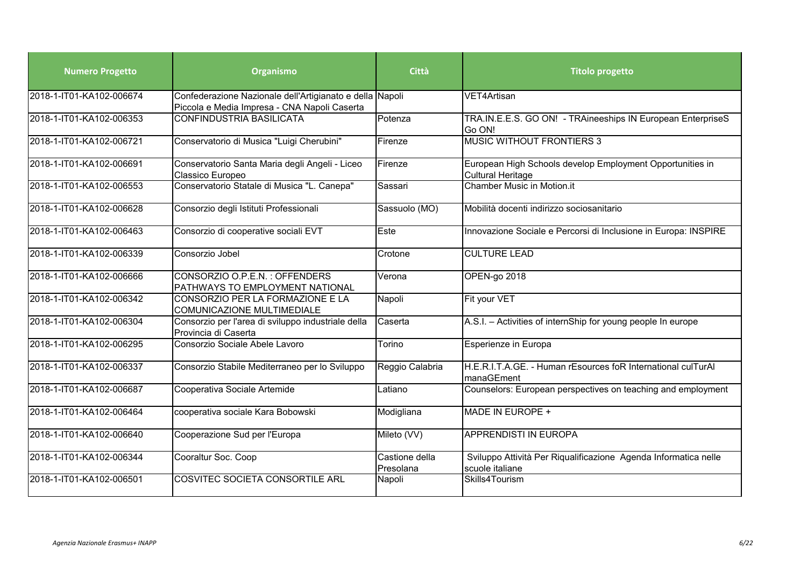| <b>Numero Progetto</b>   | Organismo                                                                                                | Città                       | <b>Titolo progetto</b>                                                                |
|--------------------------|----------------------------------------------------------------------------------------------------------|-----------------------------|---------------------------------------------------------------------------------------|
| 2018-1-IT01-KA102-006674 | Confederazione Nazionale dell'Artigianato e della Napoli<br>Piccola e Media Impresa - CNA Napoli Caserta |                             | VET4Artisan                                                                           |
| 2018-1-IT01-KA102-006353 | <b>CONFINDUSTRIA BASILICATA</b>                                                                          | Potenza                     | TRA.IN.E.E.S. GO ON! - TRAineeships IN European EnterpriseS<br>Go ON!                 |
| 2018-1-IT01-KA102-006721 | Conservatorio di Musica "Luigi Cherubini"                                                                | Firenze                     | <b>MUSIC WITHOUT FRONTIERS 3</b>                                                      |
| 2018-1-IT01-KA102-006691 | Conservatorio Santa Maria degli Angeli - Liceo<br>Classico Europeo                                       | Firenze                     | European High Schools develop Employment Opportunities in<br><b>Cultural Heritage</b> |
| 2018-1-IT01-KA102-006553 | Conservatorio Statale di Musica "L. Canepa"                                                              | Sassari                     | <b>Chamber Music in Motion.it</b>                                                     |
| 2018-1-IT01-KA102-006628 | Consorzio degli Istituti Professionali                                                                   | Sassuolo (MO)               | Mobilità docenti indirizzo sociosanitario                                             |
| 2018-1-IT01-KA102-006463 | Consorzio di cooperative sociali EVT                                                                     | Este                        | Innovazione Sociale e Percorsi di Inclusione in Europa: INSPIRE                       |
| 2018-1-IT01-KA102-006339 | Consorzio Jobel                                                                                          | Crotone                     | <b>CULTURE LEAD</b>                                                                   |
| 2018-1-IT01-KA102-006666 | CONSORZIO O.P.E.N.: OFFENDERS<br>PATHWAYS TO EMPLOYMENT NATIONAL                                         | Verona                      | OPEN-go 2018                                                                          |
| 2018-1-IT01-KA102-006342 | CONSORZIO PER LA FORMAZIONE E LA<br>COMUNICAZIONE MULTIMEDIALE                                           | Napoli                      | Fit your VET                                                                          |
| 2018-1-IT01-KA102-006304 | Consorzio per l'area di sviluppo industriale della<br>Provincia di Caserta                               | Caserta                     | A.S.I. - Activities of internShip for young people In europe                          |
| 2018-1-IT01-KA102-006295 | Consorzio Sociale Abele Lavoro                                                                           | Torino                      | Esperienze in Europa                                                                  |
| 2018-1-IT01-KA102-006337 | Consorzio Stabile Mediterraneo per lo Sviluppo                                                           | Reggio Calabria             | H.E.R.I.T.A.GE. - Human rEsources foR International culTurAl<br>manaGEment            |
| 2018-1-IT01-KA102-006687 | Cooperativa Sociale Artemide                                                                             | Latiano                     | Counselors: European perspectives on teaching and employment                          |
| 2018-1-IT01-KA102-006464 | cooperativa sociale Kara Bobowski                                                                        | Modigliana                  | MADE IN EUROPE +                                                                      |
| 2018-1-IT01-KA102-006640 | Cooperazione Sud per l'Europa                                                                            | Mileto (VV)                 | <b>APPRENDISTI IN EUROPA</b>                                                          |
| 2018-1-IT01-KA102-006344 | Cooraltur Soc. Coop                                                                                      | Castione della<br>Presolana | Sviluppo Attività Per Riqualificazione Agenda Informatica nelle<br>scuole italiane    |
| 2018-1-IT01-KA102-006501 | COSVITEC SOCIETA CONSORTILE ARL                                                                          | Napoli                      | Skills4Tourism                                                                        |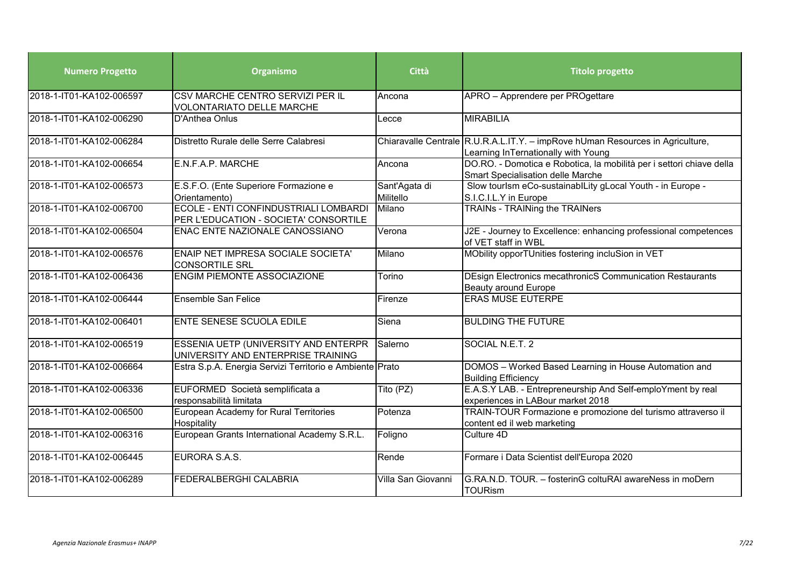| <b>Numero Progetto</b>   | Organismo                                                                      | Città                      | <b>Titolo progetto</b>                                                                                                |
|--------------------------|--------------------------------------------------------------------------------|----------------------------|-----------------------------------------------------------------------------------------------------------------------|
| 2018-1-IT01-KA102-006597 | CSV MARCHE CENTRO SERVIZI PER IL<br><b>VOLONTARIATO DELLE MARCHE</b>           | Ancona                     | APRO - Apprendere per PROgettare                                                                                      |
| 2018-1-IT01-KA102-006290 | D'Anthea Onlus                                                                 | Lecce                      | <b>MIRABILIA</b>                                                                                                      |
| 2018-1-IT01-KA102-006284 | Distretto Rurale delle Serre Calabresi                                         |                            | Chiaravalle Centrale R.U.R.A.L.IT.Y. - impRove hUman Resources in Agriculture,<br>Learning InTernationally with Young |
| 2018-1-IT01-KA102-006654 | E.N.F.A.P. MARCHE                                                              | Ancona                     | DO.RO. - Domotica e Robotica, la mobilità per i settori chiave della<br><b>Smart Specialisation delle Marche</b>      |
| 2018-1-IT01-KA102-006573 | E.S.F.O. (Ente Superiore Formazione e<br>Orientamento)                         | Sant'Agata di<br>Militello | Slow tourlsm eCo-sustainablLity gLocal Youth - in Europe -<br>S.I.C.I.L.Y in Europe                                   |
| 2018-1-IT01-KA102-006700 | ECOLE - ENTI CONFINDUSTRIALI LOMBARDI<br>PER L'EDUCATION - SOCIETA' CONSORTILE | Milano                     | <b>TRAINs - TRAINing the TRAINers</b>                                                                                 |
| 2018-1-IT01-KA102-006504 | ENAC ENTE NAZIONALE CANOSSIANO                                                 | Verona                     | J2E - Journey to Excellence: enhancing professional competences<br>of VET staff in WBL                                |
| 2018-1-IT01-KA102-006576 | ENAIP NET IMPRESA SOCIALE SOCIETA'<br><b>CONSORTILE SRL</b>                    | Milano                     | MObility opporTUnities fostering incluSion in VET                                                                     |
| 2018-1-IT01-KA102-006436 | <b>ENGIM PIEMONTE ASSOCIAZIONE</b>                                             | Torino                     | DEsign Electronics mecathronicS Communication Restaurants<br><b>Beauty around Europe</b>                              |
| 2018-1-IT01-KA102-006444 | <b>Ensemble San Felice</b>                                                     | Firenze                    | <b>ERAS MUSE EUTERPE</b>                                                                                              |
| 2018-1-IT01-KA102-006401 | <b>ENTE SENESE SCUOLA EDILE</b>                                                | Siena                      | <b>BULDING THE FUTURE</b>                                                                                             |
| 2018-1-IT01-KA102-006519 | ESSENIA UETP (UNIVERSITY AND ENTERPR<br>UNIVERSITY AND ENTERPRISE TRAINING     | Salerno                    | SOCIAL N.E.T. 2                                                                                                       |
| 2018-1-IT01-KA102-006664 | Estra S.p.A. Energia Servizi Territorio e Ambiente Prato                       |                            | DOMOS - Worked Based Learning in House Automation and<br><b>Building Efficiency</b>                                   |
| 2018-1-IT01-KA102-006336 | EUFORMED Società semplificata a<br>responsabilità limitata                     | Tito (PZ)                  | E.A.S.Y LAB. - Entrepreneurship And Self-emploYment by real<br>experiences in LABour market 2018                      |
| 2018-1-IT01-KA102-006500 | European Academy for Rural Territories<br>Hospitality                          | Potenza                    | TRAIN-TOUR Formazione e promozione del turismo attraverso il<br>content ed il web marketing                           |
| 2018-1-IT01-KA102-006316 | European Grants International Academy S.R.L.                                   | Foligno                    | Culture 4D                                                                                                            |
| 2018-1-IT01-KA102-006445 | EURORA S.A.S.                                                                  | Rende                      | Formare i Data Scientist dell'Europa 2020                                                                             |
| 2018-1-IT01-KA102-006289 | <b>FEDERALBERGHI CALABRIA</b>                                                  | Villa San Giovanni         | G.RA.N.D. TOUR. - fosterinG coltuRAI awareNess in moDern<br><b>TOURism</b>                                            |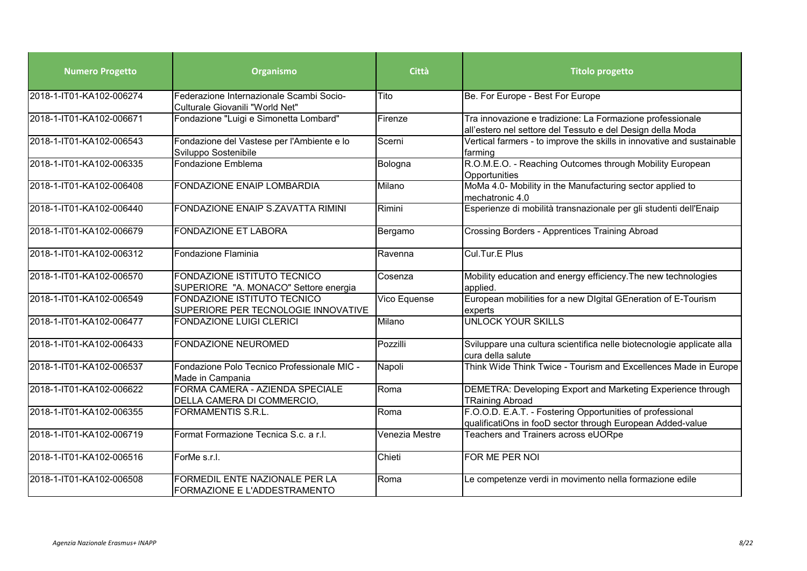| <b>Numero Progetto</b>   | Organismo                                                                   | Città          | <b>Titolo progetto</b>                                                                                                  |
|--------------------------|-----------------------------------------------------------------------------|----------------|-------------------------------------------------------------------------------------------------------------------------|
| 2018-1-IT01-KA102-006274 | Federazione Internazionale Scambi Socio-<br>Culturale Giovanili "World Net" | Tito           | Be. For Europe - Best For Europe                                                                                        |
| 2018-1-IT01-KA102-006671 | Fondazione "Luigi e Simonetta Lombard"                                      | Firenze        | Tra innovazione e tradizione: La Formazione professionale<br>all'estero nel settore del Tessuto e del Design della Moda |
| 2018-1-IT01-KA102-006543 | Fondazione del Vastese per l'Ambiente e lo<br>Sviluppo Sostenibile          | Scerni         | Vertical farmers - to improve the skills in innovative and sustainable<br>farming                                       |
| 2018-1-IT01-KA102-006335 | Fondazione Emblema                                                          | Bologna        | R.O.M.E.O. - Reaching Outcomes through Mobility European<br>Opportunities                                               |
| 2018-1-IT01-KA102-006408 | <b>FONDAZIONE ENAIP LOMBARDIA</b>                                           | Milano         | MoMa 4.0- Mobility in the Manufacturing sector applied to<br>mechatronic 4.0                                            |
| 2018-1-IT01-KA102-006440 | FONDAZIONE ENAIP S.ZAVATTA RIMINI                                           | Rimini         | Esperienze di mobilità transnazionale per gli studenti dell'Enaip                                                       |
| 2018-1-IT01-KA102-006679 | <b>FONDAZIONE ET LABORA</b>                                                 | Bergamo        | Crossing Borders - Apprentices Training Abroad                                                                          |
| 2018-1-IT01-KA102-006312 | Fondazione Flaminia                                                         | Ravenna        | Cul.Tur.E Plus                                                                                                          |
| 2018-1-IT01-KA102-006570 | FONDAZIONE ISTITUTO TECNICO<br>SUPERIORE "A. MONACO" Settore energia        | Cosenza        | Mobility education and energy efficiency. The new technologies<br>applied.                                              |
| 2018-1-IT01-KA102-006549 | FONDAZIONE ISTITUTO TECNICO<br>SUPERIORE PER TECNOLOGIE INNOVATIVE          | Vico Equense   | European mobilities for a new Digital GEneration of E-Tourism<br>experts                                                |
| 2018-1-IT01-KA102-006477 | <b>FONDAZIONE LUIGI CLERICI</b>                                             | Milano         | <b>UNLOCK YOUR SKILLS</b>                                                                                               |
| 2018-1-IT01-KA102-006433 | <b>FONDAZIONE NEUROMED</b>                                                  | Pozzilli       | Sviluppare una cultura scientifica nelle biotecnologie applicate alla<br>cura della salute                              |
| 2018-1-IT01-KA102-006537 | Fondazione Polo Tecnico Professionale MIC -<br>Made in Campania             | Napoli         | Think Wide Think Twice - Tourism and Excellences Made in Europe                                                         |
| 2018-1-IT01-KA102-006622 | FORMA CAMERA - AZIENDA SPECIALE<br>DELLA CAMERA DI COMMERCIO,               | Roma           | DEMETRA: Developing Export and Marketing Experience through<br><b>TRaining Abroad</b>                                   |
| 2018-1-IT01-KA102-006355 | <b>FORMAMENTIS S.R.L.</b>                                                   | Roma           | F.O.O.D. E.A.T. - Fostering Opportunities of professional<br>qualificatiOns in fooD sector through European Added-value |
| 2018-1-IT01-KA102-006719 | Format Formazione Tecnica S.c. a r.l.                                       | Venezia Mestre | Teachers and Trainers across eUORpe                                                                                     |
| 2018-1-IT01-KA102-006516 | ForMe s.r.l.                                                                | Chieti         | FOR ME PER NOI                                                                                                          |
| 2018-1-IT01-KA102-006508 | FORMEDIL ENTE NAZIONALE PER LA<br>FORMAZIONE E L'ADDESTRAMENTO              | Roma           | Le competenze verdi in movimento nella formazione edile                                                                 |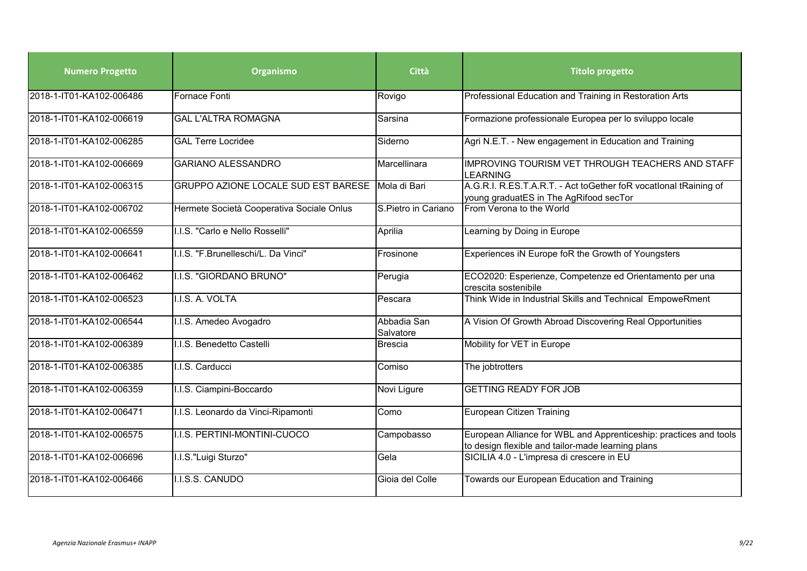| <b>Numero Progetto</b>   | Organismo                                 | <b>Città</b>             | <b>Titolo progetto</b>                                                                                                 |
|--------------------------|-------------------------------------------|--------------------------|------------------------------------------------------------------------------------------------------------------------|
| 2018-1-IT01-KA102-006486 | Fornace Fonti                             | Rovigo                   | Professional Education and Training in Restoration Arts                                                                |
| 2018-1-IT01-KA102-006619 | <b>GAL L'ALTRA ROMAGNA</b>                | Sarsina                  | Formazione professionale Europea per lo sviluppo locale                                                                |
| 2018-1-IT01-KA102-006285 | <b>GAL Terre Locridee</b>                 | Siderno                  | Agri N.E.T. - New engagement in Education and Training                                                                 |
| 2018-1-IT01-KA102-006669 | <b>GARIANO ALESSANDRO</b>                 | Marcellinara             | IMPROVING TOURISM VET THROUGH TEACHERS AND STAFF<br><b>LEARNING</b>                                                    |
| 2018-1-IT01-KA102-006315 | GRUPPO AZIONE LOCALE SUD EST BARESE       | Mola di Bari             | A.G.R.I. R.ES.T.A.R.T. - Act toGether foR vocatlonal tRaining of<br>young graduatES in The AgRifood secTor             |
| 2018-1-IT01-KA102-006702 | Hermete Società Cooperativa Sociale Onlus | S.Pietro in Cariano      | From Verona to the World                                                                                               |
| 2018-1-IT01-KA102-006559 | I.I.S. "Carlo e Nello Rosselli"           | Aprilia                  | Learning by Doing in Europe                                                                                            |
| 2018-1-IT01-KA102-006641 | I.I.S. "F.Brunelleschi/L. Da Vinci"       | Frosinone                | Experiences iN Europe foR the Growth of Youngsters                                                                     |
| 2018-1-IT01-KA102-006462 | I.I.S. "GIORDANO BRUNO"                   | Perugia                  | ECO2020: Esperienze, Competenze ed Orientamento per una<br>crescita sostenibile                                        |
| 2018-1-IT01-KA102-006523 | I.I.S. A. VOLTA                           | Pescara                  | Think Wide in Industrial Skills and Technical EmpoweRment                                                              |
| 2018-1-IT01-KA102-006544 | I.I.S. Amedeo Avogadro                    | Abbadia San<br>Salvatore | A Vision Of Growth Abroad Discovering Real Opportunities                                                               |
| 2018-1-IT01-KA102-006389 | I.I.S. Benedetto Castelli                 | <b>Brescia</b>           | Mobility for VET in Europe                                                                                             |
| 2018-1-IT01-KA102-006385 | I.I.S. Carducci                           | Comiso                   | The jobtrotters                                                                                                        |
| 2018-1-IT01-KA102-006359 | I.I.S. Ciampini-Boccardo                  | Novi Ligure              | <b>GETTING READY FOR JOB</b>                                                                                           |
| 2018-1-IT01-KA102-006471 | I.I.S. Leonardo da Vinci-Ripamonti        | Como                     | <b>European Citizen Training</b>                                                                                       |
| 2018-1-IT01-KA102-006575 | I.I.S. PERTINI-MONTINI-CUOCO              | Campobasso               | European Alliance for WBL and Apprenticeship: practices and tools<br>to design flexible and tailor-made learning plans |
| 2018-1-IT01-KA102-006696 | I.I.S."Luigi Sturzo"                      | Gela                     | SICILIA 4.0 - L'impresa di crescere in EU                                                                              |
| 2018-1-IT01-KA102-006466 | I.I.S.S. CANUDO                           | Gioia del Colle          | Towards our European Education and Training                                                                            |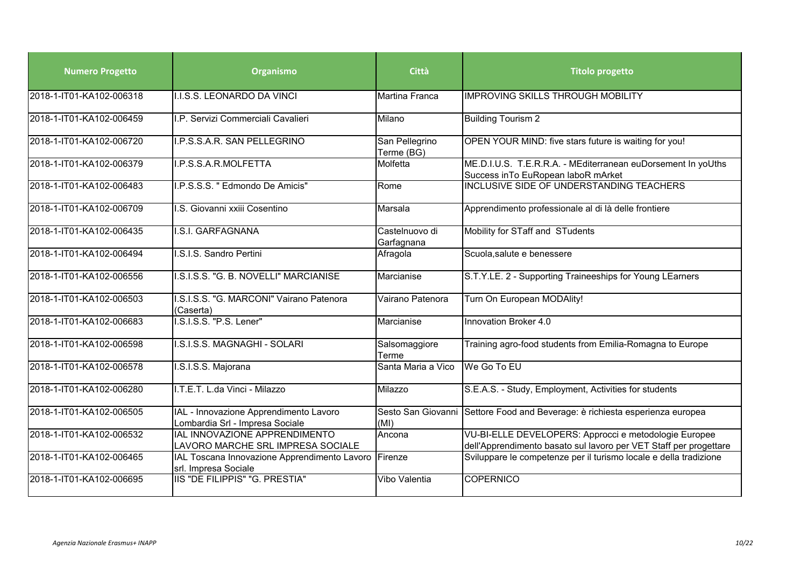| <b>Numero Progetto</b>   | Organismo                                                                 | Città                        | <b>Titolo progetto</b>                                                                                                     |
|--------------------------|---------------------------------------------------------------------------|------------------------------|----------------------------------------------------------------------------------------------------------------------------|
| 2018-1-IT01-KA102-006318 | I.I.S.S. LEONARDO DA VINCI                                                | Martina Franca               | <b>IMPROVING SKILLS THROUGH MOBILITY</b>                                                                                   |
| 2018-1-IT01-KA102-006459 | I.P. Servizi Commerciali Cavalieri                                        | Milano                       | <b>Building Tourism 2</b>                                                                                                  |
| 2018-1-IT01-KA102-006720 | I.P.S.S.A.R. SAN PELLEGRINO                                               | San Pellegrino<br>Terme (BG) | OPEN YOUR MIND: five stars future is waiting for you!                                                                      |
| 2018-1-IT01-KA102-006379 | I.P.S.S.A.R.MOLFETTA                                                      | Molfetta                     | ME.D.I.U.S. T.E.R.R.A. - MEditerranean euDorsement In yoUths<br>Success in To EuRopean laboR mArket                        |
| 2018-1-IT01-KA102-006483 | I.P.S.S.S. " Edmondo De Amicis"                                           | Rome                         | <b>INCLUSIVE SIDE OF UNDERSTANDING TEACHERS</b>                                                                            |
| 2018-1-IT01-KA102-006709 | I.S. Giovanni xxiii Cosentino                                             | Marsala                      | Apprendimento professionale al di là delle frontiere                                                                       |
| 2018-1-IT01-KA102-006435 | I.S.I. GARFAGNANA                                                         | Castelnuovo di<br>Garfagnana | Mobility for STaff and STudents                                                                                            |
| 2018-1-IT01-KA102-006494 | I.S.I.S. Sandro Pertini                                                   | Afragola                     | Scuola, salute e benessere                                                                                                 |
| 2018-1-IT01-KA102-006556 | I.S.I.S.S. "G. B. NOVELLI" MARCIANISE                                     | Marcianise                   | S.T.Y.LE. 2 - Supporting Traineeships for Young LEarners                                                                   |
| 2018-1-IT01-KA102-006503 | I.S.I.S.S. "G. MARCONI" Vairano Patenora<br>(Caserta)                     | Vairano Patenora             | Turn On European MODAlity!                                                                                                 |
| 2018-1-IT01-KA102-006683 | I.S.I.S.S. "P.S. Lener"                                                   | Marcianise                   | Innovation Broker 4.0                                                                                                      |
| 2018-1-IT01-KA102-006598 | I.S.I.S.S. MAGNAGHI - SOLARI                                              | Salsomaggiore<br>Terme       | Training agro-food students from Emilia-Romagna to Europe                                                                  |
| 2018-1-IT01-KA102-006578 | I.S.I.S.S. Majorana                                                       | Santa Maria a Vico           | We Go To EU                                                                                                                |
| 2018-1-IT01-KA102-006280 | I.T.E.T. L.da Vinci - Milazzo                                             | Milazzo                      | S.E.A.S. - Study, Employment, Activities for students                                                                      |
| 2018-1-IT01-KA102-006505 | IAL - Innovazione Apprendimento Lavoro<br>Lombardia Srl - Impresa Sociale | (MI)                         | Sesto San Giovanni Settore Food and Beverage: è richiesta esperienza europea                                               |
| 2018-1-IT01-KA102-006532 | IAL INNOVAZIONE APPRENDIMENTO<br>LAVORO MARCHE SRL IMPRESA SOCIALE        | Ancona                       | VU-BI-ELLE DEVELOPERS: Approcci e metodologie Europee<br>dell'Apprendimento basato sul lavoro per VET Staff per progettare |
| 2018-1-IT01-KA102-006465 | IAL Toscana Innovazione Apprendimento Lavoro<br>srl. Impresa Sociale      | TFirenze                     | Sviluppare le competenze per il turismo locale e della tradizione                                                          |
| 2018-1-IT01-KA102-006695 | IIIS "DE FILIPPIS" "G. PRESTIA"                                           | Vibo Valentia                | <b>COPERNICO</b>                                                                                                           |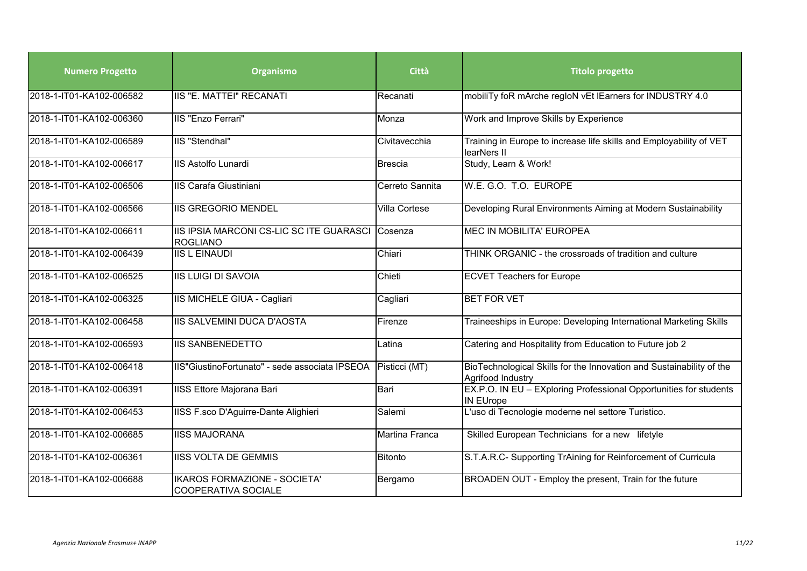| <b>Numero Progetto</b>   | Organismo                                                   | Città           | <b>Titolo progetto</b>                                                                    |
|--------------------------|-------------------------------------------------------------|-----------------|-------------------------------------------------------------------------------------------|
| 2018-1-IT01-KA102-006582 | <b>IIS "E. MATTEI" RECANATI</b>                             | Recanati        | mobiliTy foR mArche regIoN vEt IEarners for INDUSTRY 4.0                                  |
| 2018-1-IT01-KA102-006360 | IIS "Enzo Ferrari"                                          | Monza           | Work and Improve Skills by Experience                                                     |
| 2018-1-IT01-KA102-006589 | IIS "Stendhal"                                              | Civitavecchia   | Training in Europe to increase life skills and Employability of VET<br>learNers II        |
| 2018-1-IT01-KA102-006617 | <b>IIS Astolfo Lunardi</b>                                  | <b>Brescia</b>  | Study, Learn & Work!                                                                      |
| 2018-1-IT01-KA102-006506 | <b>IIS Carafa Giustiniani</b>                               | Cerreto Sannita | W.E. G.O. T.O. EUROPE                                                                     |
| 2018-1-IT01-KA102-006566 | <b>IIS GREGORIO MENDEL</b>                                  | Villa Cortese   | Developing Rural Environments Aiming at Modern Sustainability                             |
| 2018-1-IT01-KA102-006611 | IIS IPSIA MARCONI CS-LIC SC ITE GUARASCI<br><b>ROGLIANO</b> | Cosenza         | <b>MEC IN MOBILITA' EUROPEA</b>                                                           |
| 2018-1-IT01-KA102-006439 | <b>IIS L EINAUDI</b>                                        | Chiari          | THINK ORGANIC - the crossroads of tradition and culture                                   |
| 2018-1-IT01-KA102-006525 | <b>IIS LUIGI DI SAVOIA</b>                                  | Chieti          | <b>ECVET Teachers for Europe</b>                                                          |
| 2018-1-IT01-KA102-006325 | IIS MICHELE GIUA - Cagliari                                 | Cagliari        | <b>BET FOR VET</b>                                                                        |
| 2018-1-IT01-KA102-006458 | IIS SALVEMINI DUCA D'AOSTA                                  | Firenze         | Traineeships in Europe: Developing International Marketing Skills                         |
| 2018-1-IT01-KA102-006593 | <b>IIS SANBENEDETTO</b>                                     | Latina          | Catering and Hospitality from Education to Future job 2                                   |
| 2018-1-IT01-KA102-006418 | IIS"GiustinoFortunato" - sede associata IPSEOA              | Pisticci (MT)   | BioTechnological Skills for the Innovation and Sustainability of the<br>Agrifood Industry |
| 2018-1-IT01-KA102-006391 | <b>IISS Ettore Majorana Bari</b>                            | Bari            | EX.P.O. IN EU - EXploring Professional Opportunities for students<br><b>IN EUrope</b>     |
| 2018-1-IT01-KA102-006453 | IISS F.sco D'Aguirre-Dante Alighieri                        | Salemi          | L'uso di Tecnologie moderne nel settore Turistico.                                        |
| 2018-1-IT01-KA102-006685 | <b>IISS MAJORANA</b>                                        | Martina Franca  | Skilled European Technicians for a new lifetyle                                           |
| 2018-1-IT01-KA102-006361 | <b>IISS VOLTA DE GEMMIS</b>                                 | Bitonto         | S.T.A.R.C- Supporting TrAining for Reinforcement of Curricula                             |
| 2018-1-IT01-KA102-006688 | IKAROS FORMAZIONE - SOCIETA'<br><b>COOPERATIVA SOCIALE</b>  | Bergamo         | BROADEN OUT - Employ the present, Train for the future                                    |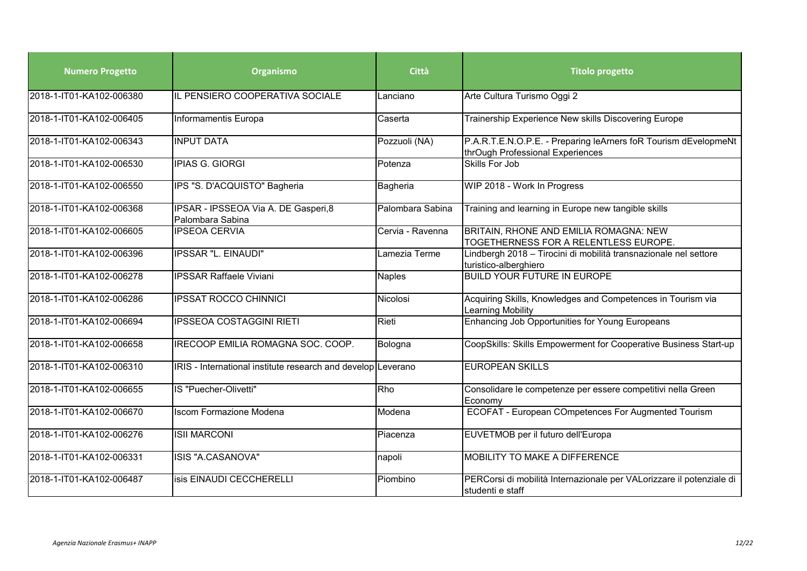| <b>Numero Progetto</b>   | Organismo                                                    | Città            | <b>Titolo progetto</b>                                                                              |
|--------------------------|--------------------------------------------------------------|------------------|-----------------------------------------------------------------------------------------------------|
| 2018-1-IT01-KA102-006380 | IL PENSIERO COOPERATIVA SOCIALE                              | Lanciano         | Arte Cultura Turismo Oggi 2                                                                         |
| 2018-1-IT01-KA102-006405 | Informamentis Europa                                         | Caserta          | Trainership Experience New skills Discovering Europe                                                |
| 2018-1-IT01-KA102-006343 | <b>INPUT DATA</b>                                            | Pozzuoli (NA)    | P.A.R.T.E.N.O.P.E. - Preparing leArners foR Tourism dEvelopmeNt<br>thrOugh Professional Experiences |
| 2018-1-IT01-KA102-006530 | <b>IPIAS G. GIORGI</b>                                       | Potenza          | Skills For Job                                                                                      |
| 2018-1-IT01-KA102-006550 | IPS "S. D'ACQUISTO" Bagheria                                 | Bagheria         | WIP 2018 - Work In Progress                                                                         |
| 2018-1-IT01-KA102-006368 | IPSAR - IPSSEOA Via A. DE Gasperi, 8<br>Palombara Sabina     | Palombara Sabina | Training and learning in Europe new tangible skills                                                 |
| 2018-1-IT01-KA102-006605 | <b>IPSEOA CERVIA</b>                                         | Cervia - Ravenna | BRITAIN, RHONE AND EMILIA ROMAGNA: NEW<br>TOGETHERNESS FOR A RELENTLESS EUROPE.                     |
| 2018-1-IT01-KA102-006396 | <b>IPSSAR "L. EINAUDI"</b>                                   | Lamezia Terme    | Lindbergh 2018 - Tirocini di mobilità transnazionale nel settore<br>turistico-alberghiero           |
| 2018-1-IT01-KA102-006278 | <b>IPSSAR Raffaele Viviani</b>                               | Naples           | <b>BUILD YOUR FUTURE IN EUROPE</b>                                                                  |
| 2018-1-IT01-KA102-006286 | <b>IPSSAT ROCCO CHINNICI</b>                                 | Nicolosi         | Acquiring Skills, Knowledges and Competences in Tourism via<br>Learning Mobility                    |
| 2018-1-IT01-KA102-006694 | <b>IPSSEOA COSTAGGINI RIETI</b>                              | Rieti            | Enhancing Job Opportunities for Young Europeans                                                     |
| 2018-1-IT01-KA102-006658 | IRECOOP EMILIA ROMAGNA SOC. COOP.                            | Bologna          | CoopSkills: Skills Empowerment for Cooperative Business Start-up                                    |
| 2018-1-IT01-KA102-006310 | IRIS - International institute research and develop Leverano |                  | <b>EUROPEAN SKILLS</b>                                                                              |
| 2018-1-IT01-KA102-006655 | IS "Puecher-Olivetti"                                        | Rho              | Consolidare le competenze per essere competitivi nella Green<br>Economy                             |
| 2018-1-IT01-KA102-006670 | <b>Iscom Formazione Modena</b>                               | Modena           | ECOFAT - European COmpetences For Augmented Tourism                                                 |
| 2018-1-IT01-KA102-006276 | <b>ISII MARCONI</b>                                          | Piacenza         | EUVETMOB per il futuro dell'Europa                                                                  |
| 2018-1-IT01-KA102-006331 | ISIS "A.CASANOVA"                                            | napoli           | <b>MOBILITY TO MAKE A DIFFERENCE</b>                                                                |
| 2018-1-IT01-KA102-006487 | isis EINAUDI CECCHERELLI                                     | Piombino         | PERCorsi di mobilità Internazionale per VALorizzare il potenziale di<br>studenti e staff            |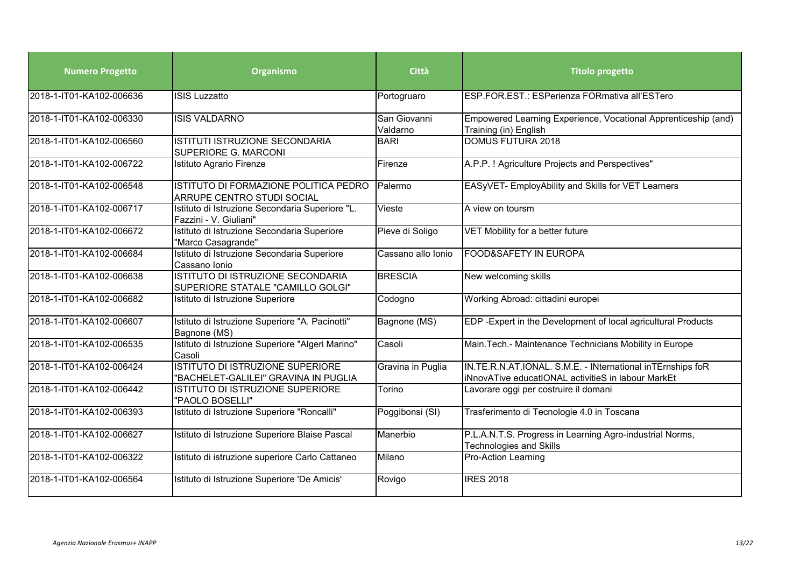| <b>Numero Progetto</b>   | Organismo                                                                     | Città                    | <b>Titolo progetto</b>                                                                                           |
|--------------------------|-------------------------------------------------------------------------------|--------------------------|------------------------------------------------------------------------------------------------------------------|
| 2018-1-IT01-KA102-006636 | <b>ISIS Luzzatto</b>                                                          | Portogruaro              | ESP.FOR.EST.: ESPerienza FORmativa all'ESTero                                                                    |
| 2018-1-IT01-KA102-006330 | <b>ISIS VALDARNO</b>                                                          | San Giovanni<br>Valdarno | Empowered Learning Experience, Vocational Apprenticeship (and)<br>Training (in) English                          |
| 2018-1-IT01-KA102-006560 | ISTITUTI ISTRUZIONE SECONDARIA<br>SUPERIORE G. MARCONI                        | <b>BARI</b>              | <b>DOMUS FUTURA 2018</b>                                                                                         |
| 2018-1-IT01-KA102-006722 | Istituto Agrario Firenze                                                      | Firenze                  | A.P.P. ! Agriculture Projects and Perspectives"                                                                  |
| 2018-1-IT01-KA102-006548 | ISTITUTO DI FORMAZIONE POLITICA PEDRO<br>ARRUPE CENTRO STUDI SOCIAL           | Palermo                  | EASyVET- EmployAbility and Skills for VET Learners                                                               |
| 2018-1-IT01-KA102-006717 | Istituto di Istruzione Secondaria Superiore "L.<br>Fazzini - V. Giuliani"     | Vieste                   | A view on toursm                                                                                                 |
| 2018-1-IT01-KA102-006672 | Istituto di Istruzione Secondaria Superiore<br>"Marco Casagrande"             | Pieve di Soligo          | VET Mobility for a better future                                                                                 |
| 2018-1-IT01-KA102-006684 | Istituto di Istruzione Secondaria Superiore<br>Cassano Ionio                  | Cassano allo Ionio       | <b>FOOD&amp;SAFETY IN EUROPA</b>                                                                                 |
| 2018-1-IT01-KA102-006638 | <b>ISTITUTO DI ISTRUZIONE SECONDARIA</b><br>SUPERIORE STATALE "CAMILLO GOLGI" | <b>BRESCIA</b>           | New welcoming skills                                                                                             |
| 2018-1-IT01-KA102-006682 | Istituto di Istruzione Superiore                                              | Codogno                  | Working Abroad: cittadini europei                                                                                |
| 2018-1-IT01-KA102-006607 | Istituto di Istruzione Superiore "A. Pacinotti"<br>Bagnone (MS)               | Bagnone (MS)             | EDP-Expert in the Development of local agricultural Products                                                     |
| 2018-1-IT01-KA102-006535 | Istituto di Istruzione Superiore "Algeri Marino"<br>Casoli                    | Casoli                   | Main. Tech.- Maintenance Technicians Mobility in Europe                                                          |
| 2018-1-IT01-KA102-006424 | ISTITUTO DI ISTRUZIONE SUPERIORE<br>"BACHELET-GALILEI" GRAVINA IN PUGLIA      | Gravina in Puglia        | IN.TE.R.N.AT.IONAL. S.M.E. - INternational inTErnships foR<br>iNnovATive educatIONAL activitieS in labour MarkEt |
| 2018-1-IT01-KA102-006442 | ISTITUTO DI ISTRUZIONE SUPERIORE<br>"PAOLO BOSELLI"                           | Torino                   | Lavorare oggi per costruire il domani                                                                            |
| 2018-1-IT01-KA102-006393 | Istituto di Istruzione Superiore "Roncalli"                                   | Poggibonsi (SI)          | Trasferimento di Tecnologie 4.0 in Toscana                                                                       |
| 2018-1-IT01-KA102-006627 | Istituto di Istruzione Superiore Blaise Pascal                                | Manerbio                 | P.L.A.N.T.S. Progress in Learning Agro-industrial Norms,<br><b>Technologies and Skills</b>                       |
| 2018-1-IT01-KA102-006322 | Istituto di istruzione superiore Carlo Cattaneo                               | Milano                   | <b>Pro-Action Learning</b>                                                                                       |
| 2018-1-IT01-KA102-006564 | Istituto di Istruzione Superiore 'De Amicis'                                  | Rovigo                   | <b>IRES 2018</b>                                                                                                 |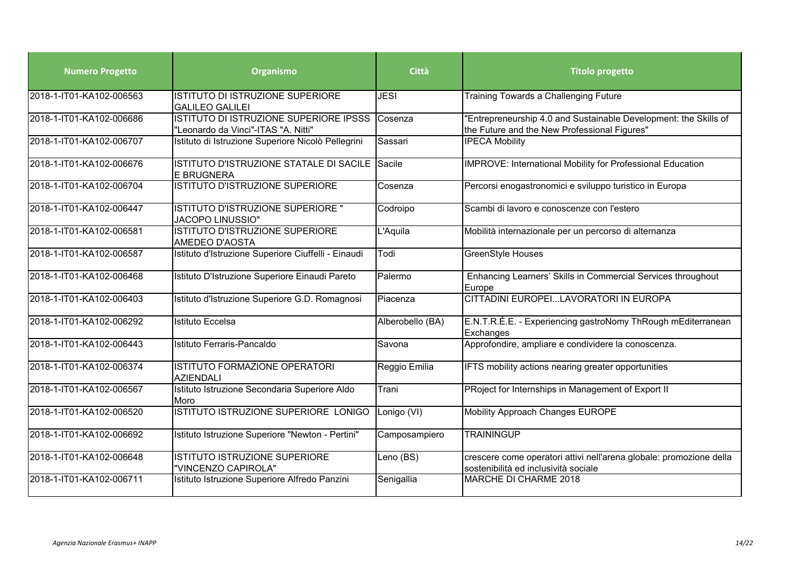| <b>Numero Progetto</b>   | Organismo                                                                            | Città            | <b>Titolo progetto</b>                                                                                           |
|--------------------------|--------------------------------------------------------------------------------------|------------------|------------------------------------------------------------------------------------------------------------------|
| 2018-1-IT01-KA102-006563 | ISTITUTO DI ISTRUZIONE SUPERIORE<br><b>GALILEO GALILEI</b>                           | <b>JESI</b>      | <b>Training Towards a Challenging Future</b>                                                                     |
| 2018-1-IT01-KA102-006686 | <b>ISTITUTO DI ISTRUZIONE SUPERIORE IPSSS</b><br>"Leonardo da Vinci"-ITAS "A. Nitti" | Cosenza          | 'Entrepreneurship 4.0 and Sustainable Development: the Skills of<br>the Future and the New Professional Figures" |
| 2018-1-IT01-KA102-006707 | Istituto di Istruzione Superiore Nicolò Pellegrini                                   | Sassari          | <b>IPECA Mobility</b>                                                                                            |
| 2018-1-IT01-KA102-006676 | ISTITUTO D'ISTRUZIONE STATALE DI SACILE<br><b>E BRUGNERA</b>                         | Sacile           | IMPROVE: International Mobility for Professional Education                                                       |
| 2018-1-IT01-KA102-006704 | <b>ISTITUTO D'ISTRUZIONE SUPERIORE</b>                                               | Cosenza          | Percorsi enogastronomici e sviluppo turistico in Europa                                                          |
| 2018-1-IT01-KA102-006447 | ISTITUTO D'ISTRUZIONE SUPERIORE "<br><b>JACOPO LINUSSIO"</b>                         | Codroipo         | Scambi di lavoro e conoscenze con l'estero                                                                       |
| 2018-1-IT01-KA102-006581 | ISTITUTO D'ISTRUZIONE SUPERIORE<br>AMEDEO D'AOSTA                                    | L'Aquila         | Mobilità internazionale per un percorso di alternanza                                                            |
| 2018-1-IT01-KA102-006587 | Istituto d'Istruzione Superiore Ciuffelli - Einaudi                                  | Todi             | <b>GreenStyle Houses</b>                                                                                         |
| 2018-1-IT01-KA102-006468 | Istituto D'Istruzione Superiore Einaudi Pareto                                       | Palermo          | Enhancing Learners' Skills in Commercial Services throughout<br>Europe                                           |
| 2018-1-IT01-KA102-006403 | Istituto d'Istruzione Superiore G.D. Romagnosi                                       | Piacenza         | CITTADINI EUROPEILAVORATORI IN EUROPA                                                                            |
| 2018-1-IT01-KA102-006292 | Istituto Eccelsa                                                                     | Alberobello (BA) | E.N.T.R.É.E. - Experiencing gastroNomy ThRough mEditerranean<br>Exchanges                                        |
| 2018-1-IT01-KA102-006443 | Istituto Ferraris-Pancaldo                                                           | Savona           | Approfondire, ampliare e condividere la conoscenza.                                                              |
| 2018-1-IT01-KA102-006374 | <b>ISTITUTO FORMAZIONE OPERATORI</b><br><b>AZIENDALI</b>                             | Reggio Emilia    | IFTS mobility actions nearing greater opportunities                                                              |
| 2018-1-IT01-KA102-006567 | Istituto Istruzione Secondaria Superiore Aldo<br>Moro                                | Trani            | PRoject for Internships in Management of Export II                                                               |
| 2018-1-IT01-KA102-006520 | ISTITUTO ISTRUZIONE SUPERIORE LONIGO                                                 | Lonigo (VI)      | Mobility Approach Changes EUROPE                                                                                 |
| 2018-1-IT01-KA102-006692 | Istituto Istruzione Superiore "Newton - Pertini"                                     | Camposampiero    | <b>TRAININGUP</b>                                                                                                |
| 2018-1-IT01-KA102-006648 | ISTITUTO ISTRUZIONE SUPERIORE<br>"VINCENZO CAPIROLA"                                 | Leno (BS)        | crescere come operatori attivi nell'arena globale: promozione della<br>sostenibilità ed inclusività sociale      |
| 2018-1-IT01-KA102-006711 | Istituto Istruzione Superiore Alfredo Panzini                                        | Senigallia       | <b>MARCHE DI CHARME 2018</b>                                                                                     |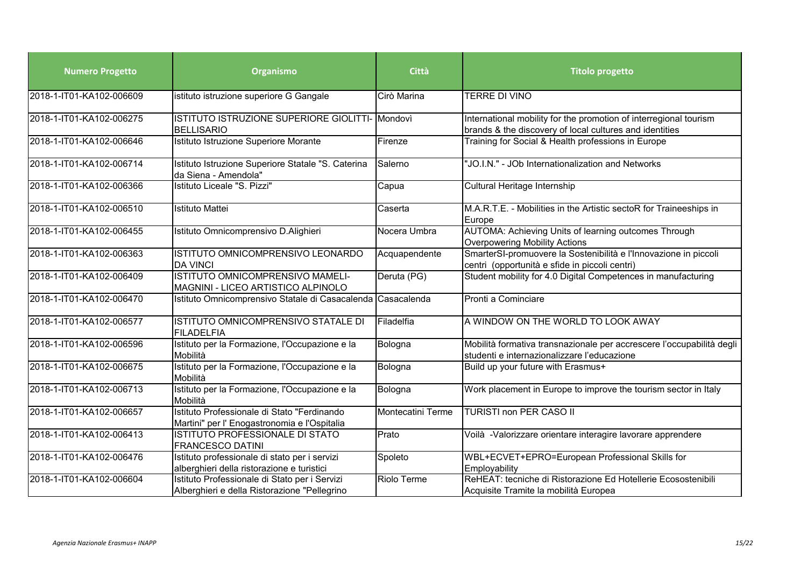| <b>Numero Progetto</b>   | Organismo                                                                                     | Città             | <b>Titolo progetto</b>                                                                                                       |
|--------------------------|-----------------------------------------------------------------------------------------------|-------------------|------------------------------------------------------------------------------------------------------------------------------|
| 2018-1-IT01-KA102-006609 | istituto istruzione superiore G Gangale                                                       | Cirò Marina       | TERRE DI VINO                                                                                                                |
| 2018-1-IT01-KA102-006275 | ISTITUTO ISTRUZIONE SUPERIORE GIOLITTI- Mondovì<br><b>BELLISARIO</b>                          |                   | International mobility for the promotion of interregional tourism<br>brands & the discovery of local cultures and identities |
| 2018-1-IT01-KA102-006646 | Istituto Istruzione Superiore Morante                                                         | Firenze           | Training for Social & Health professions in Europe                                                                           |
| 2018-1-IT01-KA102-006714 | Istituto Istruzione Superiore Statale "S. Caterina<br>da Siena - Amendola"                    | Salerno           | 'JO.I.N." - JOb Internationalization and Networks                                                                            |
| 2018-1-IT01-KA102-006366 | Istituto Liceale "S. Pizzi"                                                                   | Capua             | Cultural Heritage Internship                                                                                                 |
| 2018-1-IT01-KA102-006510 | <b>Istituto Mattei</b>                                                                        | Caserta           | M.A.R.T.E. - Mobilities in the Artistic sectoR for Traineeships in<br>Europe                                                 |
| 2018-1-IT01-KA102-006455 | Istituto Omnicomprensivo D.Alighieri                                                          | Nocera Umbra      | AUTOMA: Achieving Units of learning outcomes Through<br>Overpowering Mobility Actions                                        |
| 2018-1-IT01-KA102-006363 | ISTITUTO OMNICOMPRENSIVO LEONARDO<br><b>DA VINCI</b>                                          | Acquapendente     | SmarterSI-promuovere la Sostenibilità e l'Innovazione in piccoli<br>centri (opportunità e sfide in piccoli centri)           |
| 2018-1-IT01-KA102-006409 | ISTITUTO OMNICOMPRENSIVO MAMELI-<br>MAGNINI - LICEO ARTISTICO ALPINOLO                        | Deruta (PG)       | Student mobility for 4.0 Digital Competences in manufacturing                                                                |
| 2018-1-IT01-KA102-006470 | Istituto Omnicomprensivo Statale di Casacalenda                                               | Casacalenda       | Pronti a Cominciare                                                                                                          |
| 2018-1-IT01-KA102-006577 | ISTITUTO OMNICOMPRENSIVO STATALE DI<br><b>FILADELFIA</b>                                      | Filadelfia        | A WINDOW ON THE WORLD TO LOOK AWAY                                                                                           |
| 2018-1-IT01-KA102-006596 | Istituto per la Formazione, l'Occupazione e la<br>Mobilità                                    | Bologna           | Mobilità formativa transnazionale per accrescere l'occupabilità degli<br>studenti e internazionalizzare l'educazione         |
| 2018-1-IT01-KA102-006675 | Istituto per la Formazione, l'Occupazione e la<br>Mobilità                                    | Bologna           | Build up your future with Erasmus+                                                                                           |
| 2018-1-IT01-KA102-006713 | Istituto per la Formazione, l'Occupazione e la<br>Mobilità                                    | Bologna           | Work placement in Europe to improve the tourism sector in Italy                                                              |
| 2018-1-IT01-KA102-006657 | Istituto Professionale di Stato "Ferdinando<br>Martini" per l' Enogastronomia e l'Ospitalia   | Montecatini Terme | <b>TURISTI non PER CASO II</b>                                                                                               |
| 2018-1-IT01-KA102-006413 | ISTITUTO PROFESSIONALE DI STATO<br><b>FRANCESCO DATINI</b>                                    | Prato             | Voilà -Valorizzare orientare interagire lavorare apprendere                                                                  |
| 2018-1-IT01-KA102-006476 | Istituto professionale di stato per i servizi<br>alberghieri della ristorazione e turistici   | Spoleto           | WBL+ECVET+EPRO=European Professional Skills for<br>Employability                                                             |
| 2018-1-IT01-KA102-006604 | Istituto Professionale di Stato per i Servizi<br>Alberghieri e della Ristorazione "Pellegrino | Riolo Terme       | ReHEAT: tecniche di Ristorazione Ed Hotellerie Ecosostenibili<br>Acquisite Tramite la mobilità Europea                       |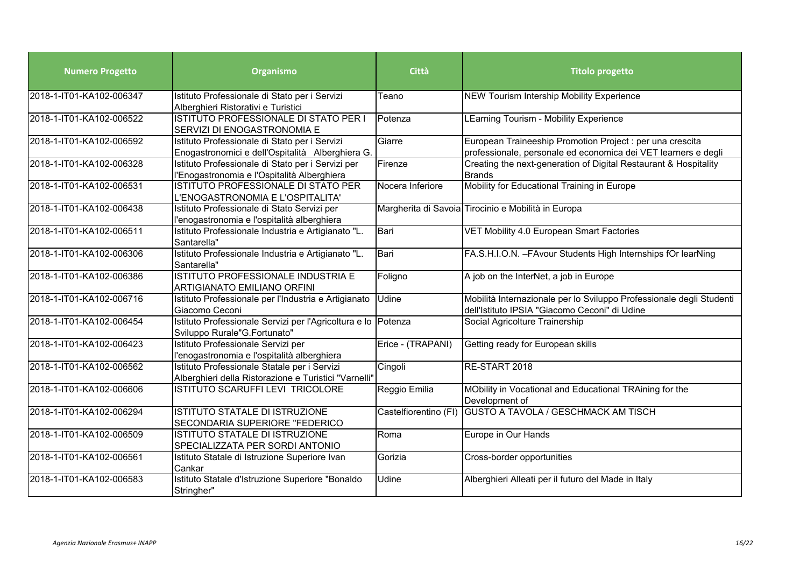| <b>Numero Progetto</b>   | Organismo                                                                                             | <b>Città</b>          | <b>Titolo progetto</b>                                                                                                      |
|--------------------------|-------------------------------------------------------------------------------------------------------|-----------------------|-----------------------------------------------------------------------------------------------------------------------------|
| 2018-1-IT01-KA102-006347 | Istituto Professionale di Stato per i Servizi<br>Alberghieri Ristorativi e Turistici                  | Teano                 | <b>NEW Tourism Intership Mobility Experience</b>                                                                            |
| 2018-1-IT01-KA102-006522 | ISTITUTO PROFESSIONALE DI STATO PER I<br>SERVIZI DI ENOGASTRONOMIA E                                  | Potenza               | LEarning Tourism - Mobility Experience                                                                                      |
| 2018-1-IT01-KA102-006592 | Istituto Professionale di Stato per i Servizi<br>Enogastronomici e dell'Ospitalità Alberghiera G.     | Giarre                | European Traineeship Promotion Project : per una crescita<br>professionale, personale ed economica dei VET learners e degli |
| 2018-1-IT01-KA102-006328 | Istituto Professionale di Stato per i Servizi per<br>l'Enogastronomia e l'Ospitalità Alberghiera      | Firenze               | Creating the next-generation of Digital Restaurant & Hospitality<br><b>Brands</b>                                           |
| 2018-1-IT01-KA102-006531 | ISTITUTO PROFESSIONALE DI STATO PER<br>L'ENOGASTRONOMIA E L'OSPITALITA'                               | Nocera Inferiore      | Mobility for Educational Training in Europe                                                                                 |
| 2018-1-IT01-KA102-006438 | Istituto Professionale di Stato Servizi per<br>l'enogastronomia e l'ospitalità alberghiera            |                       | Margherita di Savoia Tirocinio e Mobilità in Europa                                                                         |
| 2018-1-IT01-KA102-006511 | Istituto Professionale Industria e Artigianato "L.<br>Santarella"                                     | Bari                  | VET Mobility 4.0 European Smart Factories                                                                                   |
| 2018-1-IT01-KA102-006306 | Istituto Professionale Industria e Artigianato "L.<br>Santarella"                                     | Bari                  | FA.S.H.I.O.N. - FAvour Students High Internships fOr learNing                                                               |
| 2018-1-IT01-KA102-006386 | ISTITUTO PROFESSIONALE INDUSTRIA E<br><b>ARTIGIANATO EMILIANO ORFINI</b>                              | Foligno               | A job on the InterNet, a job in Europe                                                                                      |
| 2018-1-IT01-KA102-006716 | Istituto Professionale per l'Industria e Artigianato<br>Giacomo Ceconi                                | Udine                 | Mobilità Internazionale per lo Sviluppo Professionale degli Studenti<br>dell'Istituto IPSIA "Giacomo Ceconi" di Udine       |
| 2018-1-IT01-KA102-006454 | Istituto Professionale Servizi per l'Agricoltura e lo Potenza<br>Sviluppo Rurale"G.Fortunato"         |                       | Social Agricolture Trainership                                                                                              |
| 2018-1-IT01-KA102-006423 | Istituto Professionale Servizi per<br>l'enogastronomia e l'ospitalità alberghiera                     | Erice - (TRAPANI)     | Getting ready for European skills                                                                                           |
| 2018-1-IT01-KA102-006562 | Istituto Professionale Statale per i Servizi<br>Alberghieri della Ristorazione e Turistici "Varnelli" | Cingoli               | RE-START 2018                                                                                                               |
| 2018-1-IT01-KA102-006606 | ISTITUTO SCARUFFI LEVI TRICOLORE                                                                      | Reggio Emilia         | MObility in Vocational and Educational TRAining for the<br>Development of                                                   |
| 2018-1-IT01-KA102-006294 | ISTITUTO STATALE DI ISTRUZIONE<br>SECONDARIA SUPERIORE "FEDERICO                                      | Castelfiorentino (FI) | <b>GUSTO A TAVOLA / GESCHMACK AM TISCH</b>                                                                                  |
| 2018-1-IT01-KA102-006509 | ISTITUTO STATALE DI ISTRUZIONE<br>SPECIALIZZATA PER SORDI ANTONIO                                     | Roma                  | Europe in Our Hands                                                                                                         |
| 2018-1-IT01-KA102-006561 | Istituto Statale di Istruzione Superiore Ivan<br>Cankar                                               | Gorizia               | Cross-border opportunities                                                                                                  |
| 2018-1-IT01-KA102-006583 | Istituto Statale d'Istruzione Superiore "Bonaldo<br>Stringher"                                        | <b>Udine</b>          | Alberghieri Alleati per il futuro del Made in Italy                                                                         |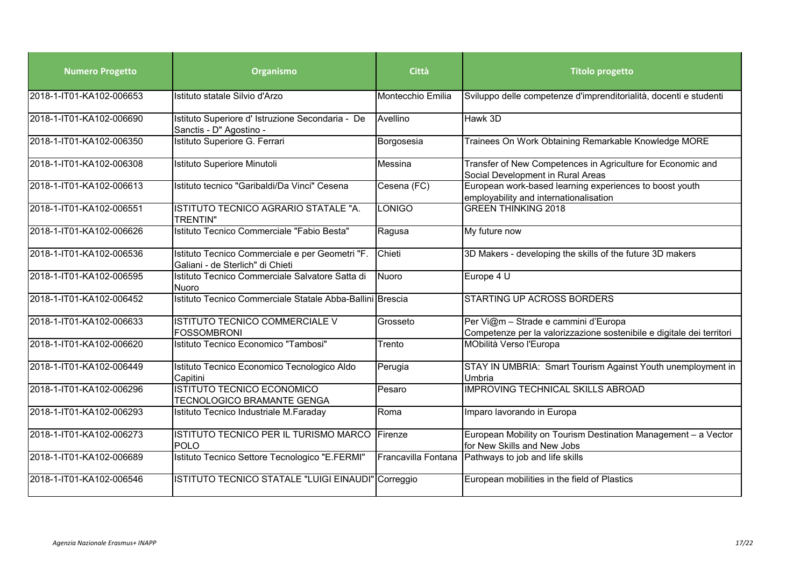| <b>Numero Progetto</b>   | Organismo                                                                           | Città               | <b>Titolo progetto</b>                                                                                        |
|--------------------------|-------------------------------------------------------------------------------------|---------------------|---------------------------------------------------------------------------------------------------------------|
| 2018-1-IT01-KA102-006653 | Istituto statale Silvio d'Arzo                                                      | Montecchio Emilia   | Sviluppo delle competenze d'imprenditorialità, docenti e studenti                                             |
| 2018-1-IT01-KA102-006690 | Istituto Superiore d' Istruzione Secondaria - De<br>Sanctis - D" Agostino -         | Avellino            | Hawk 3D                                                                                                       |
| 2018-1-IT01-KA102-006350 | Istituto Superiore G. Ferrari                                                       | Borgosesia          | Trainees On Work Obtaining Remarkable Knowledge MORE                                                          |
| 2018-1-IT01-KA102-006308 | Istituto Superiore Minutoli                                                         | Messina             | Transfer of New Competences in Agriculture for Economic and<br>Social Development in Rural Areas              |
| 2018-1-IT01-KA102-006613 | Istituto tecnico "Garibaldi/Da Vinci" Cesena                                        | Cesena (FC)         | European work-based learning experiences to boost youth<br>employability and internationalisation             |
| 2018-1-IT01-KA102-006551 | ISTITUTO TECNICO AGRARIO STATALE "A.<br><b>TRENTIN"</b>                             | <b>LONIGO</b>       | <b>GREEN THINKING 2018</b>                                                                                    |
| 2018-1-IT01-KA102-006626 | Istituto Tecnico Commerciale "Fabio Besta"                                          | Ragusa              | My future now                                                                                                 |
| 2018-1-IT01-KA102-006536 | Istituto Tecnico Commerciale e per Geometri "F.<br>Galiani - de Sterlich" di Chieti | Chieti              | 3D Makers - developing the skills of the future 3D makers                                                     |
| 2018-1-IT01-KA102-006595 | Istituto Tecnico Commerciale Salvatore Satta di<br>Nuoro                            | Nuoro               | Europe 4 U                                                                                                    |
| 2018-1-IT01-KA102-006452 | Istituto Tecnico Commerciale Statale Abba-Ballini Brescia                           |                     | <b>STARTING UP ACROSS BORDERS</b>                                                                             |
| 2018-1-IT01-KA102-006633 | ISTITUTO TECNICO COMMERCIALE V<br><b>FOSSOMBRONI</b>                                | Grosseto            | Per Vi@m - Strade e cammini d'Europa<br>Competenze per la valorizzazione sostenibile e digitale dei territori |
| 2018-1-IT01-KA102-006620 | Istituto Tecnico Economico "Tambosi"                                                | Trento              | MObilità Verso l'Europa                                                                                       |
| 2018-1-IT01-KA102-006449 | Istituto Tecnico Economico Tecnologico Aldo<br>Capitini                             | Perugia             | STAY IN UMBRIA: Smart Tourism Against Youth unemployment in<br>Umbria                                         |
| 2018-1-IT01-KA102-006296 | <b>ISTITUTO TECNICO ECONOMICO</b><br>TECNOLOGICO BRAMANTE GENGA                     | Pesaro              | <b>IMPROVING TECHNICAL SKILLS ABROAD</b>                                                                      |
| 2018-1-IT01-KA102-006293 | Istituto Tecnico Industriale M.Faraday                                              | Roma                | Imparo lavorando in Europa                                                                                    |
| 2018-1-IT01-KA102-006273 | ISTITUTO TECNICO PER IL TURISMO MARCO<br><b>POLO</b>                                | Firenze             | European Mobility on Tourism Destination Management - a Vector<br>for New Skills and New Jobs                 |
| 2018-1-IT01-KA102-006689 | Istituto Tecnico Settore Tecnologico "E.FERMI"                                      | Francavilla Fontana | Pathways to job and life skills                                                                               |
| 2018-1-IT01-KA102-006546 | ISTITUTO TECNICO STATALE "LUIGI EINAUDI" Correggio                                  |                     | European mobilities in the field of Plastics                                                                  |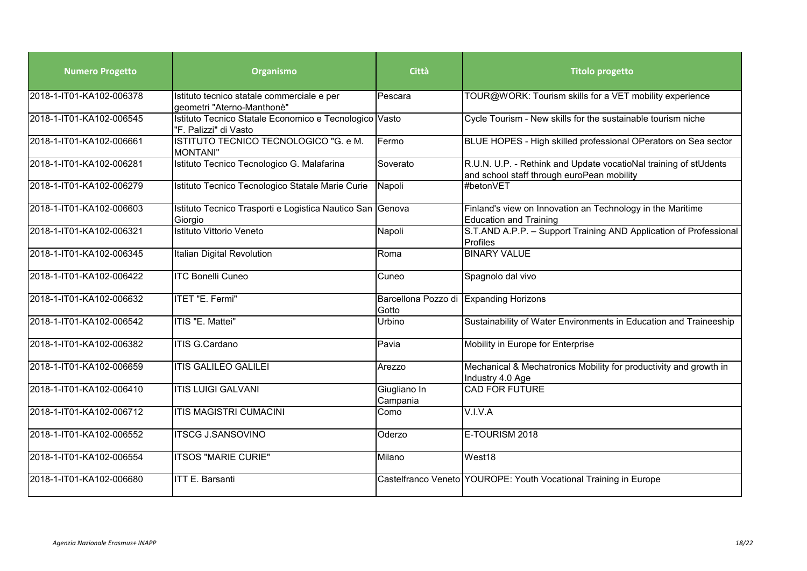| <b>Numero Progetto</b>   | Organismo                                                                       | Città                                           | <b>Titolo progetto</b>                                                                                         |
|--------------------------|---------------------------------------------------------------------------------|-------------------------------------------------|----------------------------------------------------------------------------------------------------------------|
| 2018-1-IT01-KA102-006378 | Istituto tecnico statale commerciale e per<br>geometri "Aterno-Manthonè"        | Pescara                                         | TOUR@WORK: Tourism skills for a VET mobility experience                                                        |
| 2018-1-IT01-KA102-006545 | Istituto Tecnico Statale Economico e Tecnologico Vasto<br>"F. Palizzi" di Vasto |                                                 | Cycle Tourism - New skills for the sustainable tourism niche                                                   |
| 2018-1-IT01-KA102-006661 | ISTITUTO TECNICO TECNOLOGICO "G. e M.<br>MONTANI"                               | Fermo                                           | BLUE HOPES - High skilled professional OPerators on Sea sector                                                 |
| 2018-1-IT01-KA102-006281 | Istituto Tecnico Tecnologico G. Malafarina                                      | Soverato                                        | R.U.N. U.P. - Rethink and Update vocatioNal training of stUdents<br>and school staff through euroPean mobility |
| 2018-1-IT01-KA102-006279 | Istituto Tecnico Tecnologico Statale Marie Curie                                | Napoli                                          | #betonVFT                                                                                                      |
| 2018-1-IT01-KA102-006603 | Istituto Tecnico Trasporti e Logistica Nautico San Genova<br>Giorgio            |                                                 | Finland's view on Innovation an Technology in the Maritime<br><b>Education and Training</b>                    |
| 2018-1-IT01-KA102-006321 | Istituto Vittorio Veneto                                                        | Napoli                                          | S.T.AND A.P.P. - Support Training AND Application of Professional<br>Profiles                                  |
| 2018-1-IT01-KA102-006345 | Italian Digital Revolution                                                      | Roma                                            | <b>BINARY VALUE</b>                                                                                            |
| 2018-1-IT01-KA102-006422 | <b>ITC Bonelli Cuneo</b>                                                        | Cuneo                                           | Spagnolo dal vivo                                                                                              |
| 2018-1-IT01-KA102-006632 | ITET "E. Fermi"                                                                 | Barcellona Pozzo di Expanding Horizons<br>Gotto |                                                                                                                |
| 2018-1-IT01-KA102-006542 | ITIS "E. Mattei"                                                                | Urbino                                          | Sustainability of Water Environments in Education and Traineeship                                              |
| 2018-1-IT01-KA102-006382 | <b>ITIS G.Cardano</b>                                                           | Pavia                                           | Mobility in Europe for Enterprise                                                                              |
| 2018-1-IT01-KA102-006659 | <b>ITIS GALILEO GALILEI</b>                                                     | Arezzo                                          | Mechanical & Mechatronics Mobility for productivity and growth in<br>Industry 4.0 Age                          |
| 2018-1-IT01-KA102-006410 | <b>ITIS LUIGI GALVANI</b>                                                       | Giugliano In<br>Campania                        | <b>CAD FOR FUTURE</b>                                                                                          |
| 2018-1-IT01-KA102-006712 | <b>ITIS MAGISTRI CUMACINI</b>                                                   | Como                                            | V.I.V.A                                                                                                        |
| 2018-1-IT01-KA102-006552 | <b>ITSCG J.SANSOVINO</b>                                                        | Oderzo                                          | E-TOURISM 2018                                                                                                 |
| 2018-1-IT01-KA102-006554 | <b>ITSOS "MARIE CURIE"</b>                                                      | Milano                                          | West18                                                                                                         |
| 2018-1-IT01-KA102-006680 | <b>ITT E. Barsanti</b>                                                          |                                                 | Castelfranco Veneto YOUROPE: Youth Vocational Training in Europe                                               |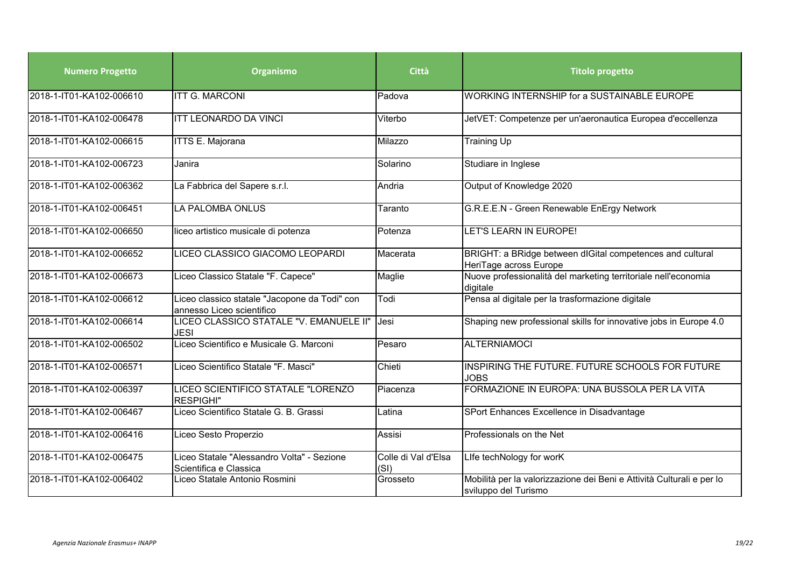| <b>Numero Progetto</b>   | Organismo                                                                  | Città                       | <b>Titolo progetto</b>                                                                        |
|--------------------------|----------------------------------------------------------------------------|-----------------------------|-----------------------------------------------------------------------------------------------|
| 2018-1-IT01-KA102-006610 | <b>ITT G. MARCONI</b>                                                      | Padova                      | <b>WORKING INTERNSHIP for a SUSTAINABLE EUROPE</b>                                            |
| 2018-1-IT01-KA102-006478 | <b>ITT LEONARDO DA VINCI</b>                                               | Viterbo                     | JetVET: Competenze per un'aeronautica Europea d'eccellenza                                    |
| 2018-1-IT01-KA102-006615 | <b>ITTS E. Majorana</b>                                                    | Milazzo                     | Training Up                                                                                   |
| 2018-1-IT01-KA102-006723 | Janira                                                                     | Solarino                    | Studiare in Inglese                                                                           |
| 2018-1-IT01-KA102-006362 | La Fabbrica del Sapere s.r.l.                                              | Andria                      | Output of Knowledge 2020                                                                      |
| 2018-1-IT01-KA102-006451 | LA PALOMBA ONLUS                                                           | Taranto                     | G.R.E.E.N - Green Renewable EnErgy Network                                                    |
| 2018-1-IT01-KA102-006650 | liceo artistico musicale di potenza                                        | Potenza                     | LET'S LEARN IN EUROPE!                                                                        |
| 2018-1-IT01-KA102-006652 | LICEO CLASSICO GIACOMO LEOPARDI                                            | Macerata                    | BRIGHT: a BRidge between dIGital competences and cultural<br>HeriTage across Europe           |
| 2018-1-IT01-KA102-006673 | Liceo Classico Statale "F. Capece"                                         | Maglie                      | Nuove professionalità del marketing territoriale nell'economia<br>digitale                    |
| 2018-1-IT01-KA102-006612 | Liceo classico statale "Jacopone da Todi" con<br>annesso Liceo scientifico | Todi                        | Pensa al digitale per la trasformazione digitale                                              |
| 2018-1-IT01-KA102-006614 | LICEO CLASSICO STATALE "V. EMANUELE II"<br><b>JESI</b>                     | Jesi                        | Shaping new professional skills for innovative jobs in Europe 4.0                             |
| 2018-1-IT01-KA102-006502 | Liceo Scientifico e Musicale G. Marconi                                    | Pesaro                      | <b>ALTERNIAMOCI</b>                                                                           |
| 2018-1-IT01-KA102-006571 | Liceo Scientifico Statale "F. Masci"                                       | Chieti                      | INSPIRING THE FUTURE. FUTURE SCHOOLS FOR FUTURE<br><b>JOBS</b>                                |
| 2018-1-IT01-KA102-006397 | LICEO SCIENTIFICO STATALE "LORENZO<br><b>RESPIGHI"</b>                     | Piacenza                    | FORMAZIONE IN EUROPA: UNA BUSSOLA PER LA VITA                                                 |
| 2018-1-IT01-KA102-006467 | Liceo Scientifico Statale G. B. Grassi                                     | Latina                      | SPort Enhances Excellence in Disadvantage                                                     |
| 2018-1-IT01-KA102-006416 | Liceo Sesto Properzio                                                      | Assisi                      | Professionals on the Net                                                                      |
| 2018-1-IT01-KA102-006475 | Liceo Statale "Alessandro Volta" - Sezione<br>Scientifica e Classica       | Colle di Val d'Elsa<br>(SI) | Life techNology for worK                                                                      |
| 2018-1-IT01-KA102-006402 | Liceo Statale Antonio Rosmini                                              | Grosseto                    | Mobilità per la valorizzazione dei Beni e Attività Culturali e per lo<br>sviluppo del Turismo |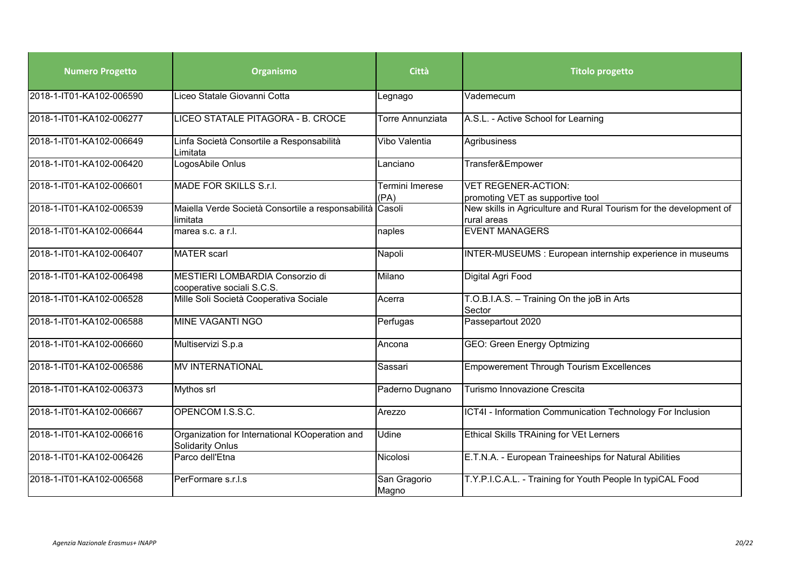| <b>Numero Progetto</b>   | Organismo                                                                 | Città                   | <b>Titolo progetto</b>                                                            |
|--------------------------|---------------------------------------------------------------------------|-------------------------|-----------------------------------------------------------------------------------|
| 2018-1-IT01-KA102-006590 | Liceo Statale Giovanni Cotta                                              | Legnago                 | Vademecum                                                                         |
| 2018-1-IT01-KA102-006277 | LICEO STATALE PITAGORA - B. CROCE                                         | <b>Torre Annunziata</b> | A.S.L. - Active School for Learning                                               |
| 2018-1-IT01-KA102-006649 | Linfa Società Consortile a Responsabilità<br>Limitata                     | Vibo Valentia           | Agribusiness                                                                      |
| 2018-1-IT01-KA102-006420 | LogosAbile Onlus                                                          | Lanciano                | Transfer&Empower                                                                  |
| 2018-1-IT01-KA102-006601 | MADE FOR SKILLS S.r.I.                                                    | Termini Imerese<br>(PA) | <b>VET REGENER-ACTION:</b><br>promoting VET as supportive tool                    |
| 2018-1-IT01-KA102-006539 | Maiella Verde Società Consortile a responsabilità Casoli<br>limitata      |                         | New skills in Agriculture and Rural Tourism for the development of<br>rural areas |
| 2018-1-IT01-KA102-006644 | marea s.c. a r.l.                                                         | naples                  | <b>EVENT MANAGERS</b>                                                             |
| 2018-1-IT01-KA102-006407 | <b>MATER</b> scarl                                                        | Napoli                  | INTER-MUSEUMS : European internship experience in museums                         |
| 2018-1-IT01-KA102-006498 | MESTIERI LOMBARDIA Consorzio di<br>cooperative sociali S.C.S.             | Milano                  | Digital Agri Food                                                                 |
| 2018-1-IT01-KA102-006528 | Mille Soli Società Cooperativa Sociale                                    | Acerra                  | T.O.B.I.A.S. - Training On the joB in Arts<br>Sector                              |
| 2018-1-IT01-KA102-006588 | <b>MINE VAGANTI NGO</b>                                                   | Perfugas                | Passepartout 2020                                                                 |
| 2018-1-IT01-KA102-006660 | Multiservizi S.p.a                                                        | Ancona                  | <b>GEO: Green Energy Optmizing</b>                                                |
| 2018-1-IT01-KA102-006586 | <b>MV INTERNATIONAL</b>                                                   | Sassari                 | <b>Empowerement Through Tourism Excellences</b>                                   |
| 2018-1-IT01-KA102-006373 | Mythos srl                                                                | Paderno Dugnano         | Turismo Innovazione Crescita                                                      |
| 2018-1-IT01-KA102-006667 | OPENCOM I.S.S.C.                                                          | Arezzo                  | ICT4I - Information Communication Technology For Inclusion                        |
| 2018-1-IT01-KA102-006616 | Organization for International KOoperation and<br><b>Solidarity Onlus</b> | Udine                   | Ethical Skills TRAining for VEt Lerners                                           |
| 2018-1-IT01-KA102-006426 | Parco dell'Etna                                                           | Nicolosi                | E.T.N.A. - European Traineeships for Natural Abilities                            |
| 2018-1-IT01-KA102-006568 | PerFormare s.r.l.s                                                        | San Gragorio<br>Magno   | T.Y.P.I.C.A.L. - Training for Youth People In typiCAL Food                        |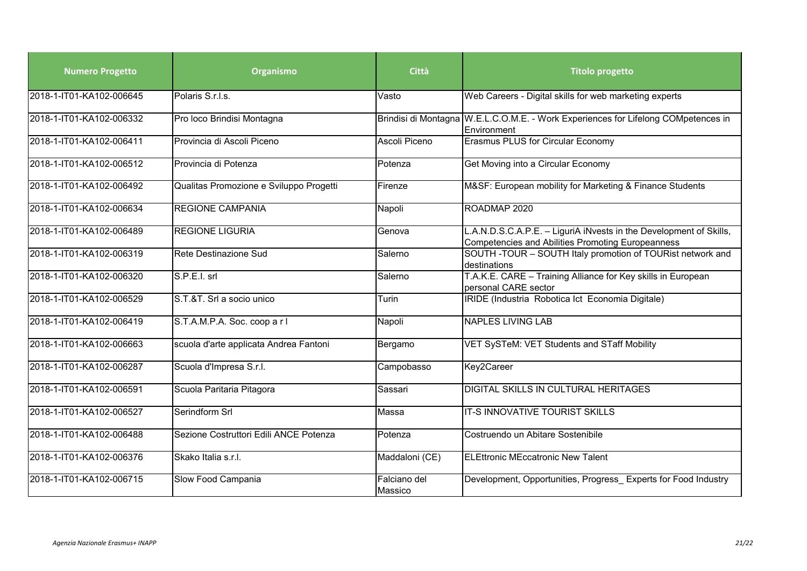| <b>Numero Progetto</b>   | Organismo                               | Città                   | <b>Titolo progetto</b>                                                                                                  |
|--------------------------|-----------------------------------------|-------------------------|-------------------------------------------------------------------------------------------------------------------------|
| 2018-1-IT01-KA102-006645 | Polaris S.r.l.s.                        | Vasto                   | Web Careers - Digital skills for web marketing experts                                                                  |
| 2018-1-IT01-KA102-006332 | Pro loco Brindisi Montagna              |                         | Brindisi di Montagna W.E.L.C.O.M.E. - Work Experiences for Lifelong COMpetences in<br>Environment                       |
| 2018-1-IT01-KA102-006411 | Provincia di Ascoli Piceno              | Ascoli Piceno           | <b>Erasmus PLUS for Circular Economy</b>                                                                                |
| 2018-1-IT01-KA102-006512 | Provincia di Potenza                    | Potenza                 | Get Moving into a Circular Economy                                                                                      |
| 2018-1-IT01-KA102-006492 | Qualitas Promozione e Sviluppo Progetti | Firenze                 | M&SF: European mobility for Marketing & Finance Students                                                                |
| 2018-1-IT01-KA102-006634 | <b>REGIONE CAMPANIA</b>                 | Napoli                  | ROADMAP 2020                                                                                                            |
| 2018-1-IT01-KA102-006489 | <b>REGIONE LIGURIA</b>                  | Genova                  | L.A.N.D.S.C.A.P.E. - LiguriA iNvests in the Development of Skills,<br>Competencies and Abilities Promoting Europeanness |
| 2018-1-IT01-KA102-006319 | Rete Destinazione Sud                   | Salerno                 | SOUTH - TOUR - SOUTH Italy promotion of TOURist network and<br>destinations                                             |
| 2018-1-IT01-KA102-006320 | S.P.E.I. srl                            | Salerno                 | T.A.K.E. CARE - Training Alliance for Key skills in European<br>personal CARE sector                                    |
| 2018-1-IT01-KA102-006529 | S.T.&T. Srl a socio unico               | Turin                   | IRIDE (Industria Robotica Ict Economia Digitale)                                                                        |
| 2018-1-IT01-KA102-006419 | S.T.A.M.P.A. Soc. coop a r l            | Napoli                  | <b>NAPLES LIVING LAB</b>                                                                                                |
| 2018-1-IT01-KA102-006663 | scuola d'arte applicata Andrea Fantoni  | Bergamo                 | VET SySTeM: VET Students and STaff Mobility                                                                             |
| 2018-1-IT01-KA102-006287 | Scuola d'Impresa S.r.l.                 | Campobasso              | Key2Career                                                                                                              |
| 2018-1-IT01-KA102-006591 | Scuola Paritaria Pitagora               | Sassari                 | DIGITAL SKILLS IN CULTURAL HERITAGES                                                                                    |
| 2018-1-IT01-KA102-006527 | Serindform Srl                          | Massa                   | <b>IT-S INNOVATIVE TOURIST SKILLS</b>                                                                                   |
| 2018-1-IT01-KA102-006488 | Sezione Costruttori Edili ANCE Potenza  | Potenza                 | Costruendo un Abitare Sostenibile                                                                                       |
| 2018-1-IT01-KA102-006376 | Skako Italia s.r.l.                     | Maddaloni (CE)          | <b>ELEttronic MEccatronic New Talent</b>                                                                                |
| 2018-1-IT01-KA102-006715 | Slow Food Campania                      | Falciano del<br>Massico | Development, Opportunities, Progress Experts for Food Industry                                                          |